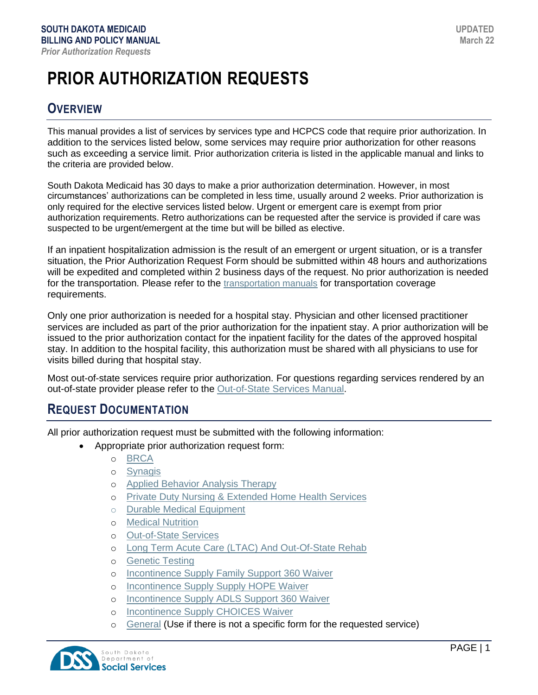# **PRIOR AUTHORIZATION REQUESTS**

### **OVERVIEW**

This manual provides a list of services by services type and HCPCS code that require prior authorization. In addition to the services listed below, some services may require prior authorization for other reasons such as exceeding a service limit. Prior authorization criteria is listed in the applicable manual and links to the criteria are provided below.

South Dakota Medicaid has 30 days to make a prior authorization determination. However, in most circumstances' authorizations can be completed in less time, usually around 2 weeks. Prior authorization is only required for the elective services listed below. Urgent or emergent care is exempt from prior authorization requirements. Retro authorizations can be requested after the service is provided if care was suspected to be urgent/emergent at the time but will be billed as elective.

If an inpatient hospitalization admission is the result of an emergent or urgent situation, or is a transfer situation, the Prior Authorization Request Form should be submitted within 48 hours and authorizations will be expedited and completed within 2 business days of the request. No prior authorization is needed for the transportation. Please refer to the [transportation manuals](https://dss.sd.gov/medicaid/providers/billingmanuals/) for transportation coverage requirements.

Only one prior authorization is needed for a hospital stay. Physician and other licensed practitioner services are included as part of the prior authorization for the inpatient stay. A prior authorization will be issued to the prior authorization contact for the inpatient facility for the dates of the approved hospital stay. In addition to the hospital facility, this authorization must be shared with all physicians to use for visits billed during that hospital stay.

Most out-of-state services require prior authorization. For questions regarding services rendered by an out-of-state provider please refer to the [Out-of-State Services Manual.](https://dss.sd.gov/docs/medicaid/providers/billingmanuals/Out-of-StateProviders.pdf)

### **REQUEST DOCUMENTATION**

All prior authorization request must be submitted with the following information:

- Appropriate prior authorization request form:
	- o [BRCA](https://dss.sd.gov/formsandpubs/docs/MEDSRVCS/PA-107_BRCAForm.pdf)
	- o [Synagis](https://dss.sd.gov/formsandpubs/docs/MEDSRVCS/PA-103_SynagisForm.pdf)
	- o [Applied Behavior Analysis Therapy](https://dss.sd.gov/formsandpubs/docs/MEDSRVCS/PA-102_ABAPAForm.pdf)
	- o [Private Duty Nursing & Extended Home Health Services](https://dss.sd.gov/formsandpubs/docs/MEDSRVCS/PA-104_PDN-EHHA-RequestForm.pdf)
	- o [Durable Medical Equipment](https://dss.sd.gov/formsandpubs/docs/MEDSRVCS/PA-101_DurableMedicalEquipment.pdf)
	- o [Medical Nutrition](https://dss.sd.gov/formsandpubs/docs/MEDSRVCS/PA-113_MedicalNutrition.pdf)
	- o [Out-of-State Services](https://dss.sd.gov/formsandpubs/docs/MEDSRVCS/PA-105_OOS-RequestForm.pdf)
	- o [Long Term Acute Care \(LTAC\) And Out-Of-State Rehab](https://dss.sd.gov/formsandpubs/docs/MEDSRVCS/PA-112_LTC-OOS-Rehab.pdf)
	- o [Genetic Testing](https://dss.sd.gov/formsandpubs/docs/MEDSRVCS/PA-106_GeneticTesting.pdf)
	- o [Incontinence Supply Family Support 360 Waiver](https://dss.sd.gov/formsandpubs/docs/MEDSRVCS/PA-108_FS360Waiver.pdf)
	- o [Incontinence Supply Supply HOPE Waiver](https://dss.sd.gov/formsandpubs/docs/MEDSRVCS/PA-109_HopeWaiver.pdf)
	- o [Incontinence Supply ADLS Support 360 Waiver](https://dss.sd.gov/formsandpubs/docs/MEDSRVCS/PA-110_ADLSWaiver.pdf)
	- o [Incontinence Supply CHOICES Waiver](https://dss.sd.gov/formsandpubs/docs/MEDSRVCS/PA-111_ChoicesWaiver.pdf)
	- o [General](https://dss.sd.gov/formsandpubs/docs/MEDSRVCS/PA-100_General.pdf) (Use if there is not a specific form for the requested service)

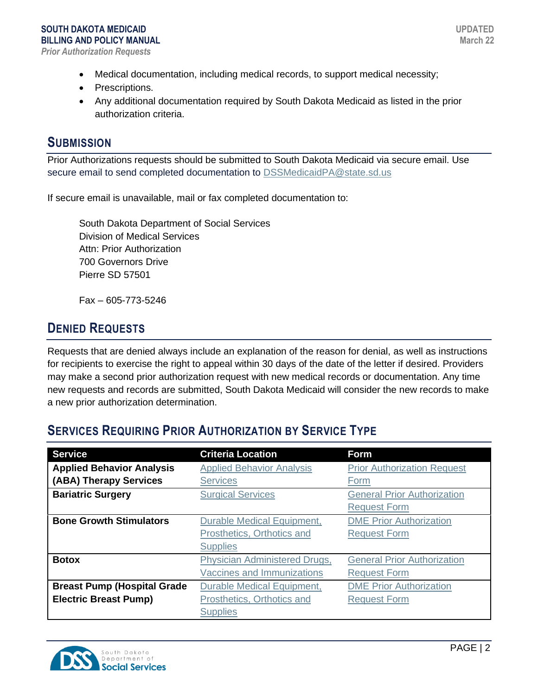- Medical documentation, including medical records, to support medical necessity;
- Prescriptions.
- Any additional documentation required by South Dakota Medicaid as listed in the prior authorization criteria.

### **SUBMISSION**

Prior Authorizations requests should be submitted to South Dakota Medicaid via secure email. Use secure email to send completed documentation to **DSSMedicaidPA@state.sd.us** 

If secure email is unavailable, mail or fax completed documentation to:

South Dakota Department of Social Services Division of Medical Services Attn: Prior Authorization 700 Governors Drive Pierre SD 57501

Fax – 605-773-5246

### **DENIED REQUESTS**

Requests that are denied always include an explanation of the reason for denial, as well as instructions for recipients to exercise the right to appeal within 30 days of the date of the letter if desired. Providers may make a second prior authorization request with new medical records or documentation. Any time new requests and records are submitted, South Dakota Medicaid will consider the new records to make a new prior authorization determination.

### **SERVICES REQUIRING PRIOR AUTHORIZATION BY SERVICE TYPE**

| <b>Service</b>                     | <b>Criteria Location</b>             | <b>Form</b>                        |
|------------------------------------|--------------------------------------|------------------------------------|
| <b>Applied Behavior Analysis</b>   | <b>Applied Behavior Analysis</b>     | <b>Prior Authorization Request</b> |
| (ABA) Therapy Services             | <b>Services</b>                      | Form                               |
| <b>Bariatric Surgery</b>           | <b>Surgical Services</b>             | <b>General Prior Authorization</b> |
|                                    |                                      | <b>Request Form</b>                |
| <b>Bone Growth Stimulators</b>     | Durable Medical Equipment,           | <b>DME Prior Authorization</b>     |
|                                    | Prosthetics, Orthotics and           | <b>Request Form</b>                |
|                                    | <b>Supplies</b>                      |                                    |
| <b>Botox</b>                       | <b>Physician Administered Drugs,</b> | <b>General Prior Authorization</b> |
|                                    | <b>Vaccines and Immunizations</b>    | <b>Request Form</b>                |
| <b>Breast Pump (Hospital Grade</b> | <b>Durable Medical Equipment,</b>    | <b>DME Prior Authorization</b>     |
| <b>Electric Breast Pump)</b>       | Prosthetics, Orthotics and           | <b>Request Form</b>                |
|                                    | <b>Supplies</b>                      |                                    |

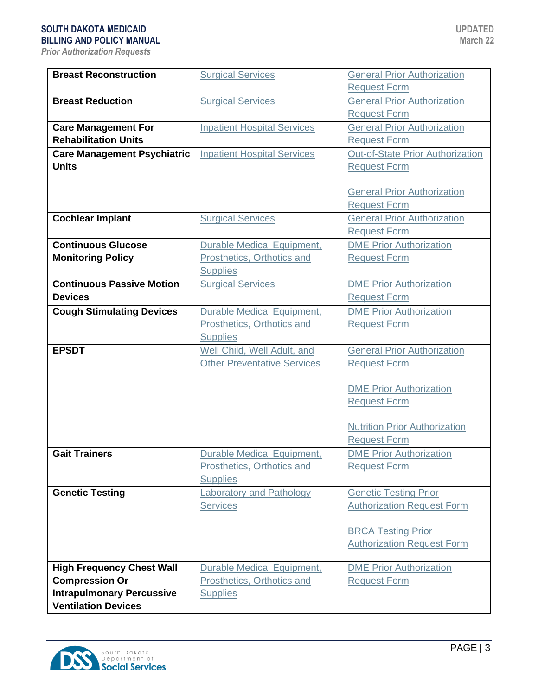| <b>Breast Reconstruction</b>       | <b>Surgical Services</b>           | <b>General Prior Authorization</b>      |
|------------------------------------|------------------------------------|-----------------------------------------|
|                                    |                                    | <b>Request Form</b>                     |
| <b>Breast Reduction</b>            | <b>Surgical Services</b>           | <b>General Prior Authorization</b>      |
|                                    |                                    | <b>Request Form</b>                     |
| <b>Care Management For</b>         | <b>Inpatient Hospital Services</b> | <b>General Prior Authorization</b>      |
| <b>Rehabilitation Units</b>        |                                    | <b>Request Form</b>                     |
| <b>Care Management Psychiatric</b> | <b>Inpatient Hospital Services</b> | <b>Out-of-State Prior Authorization</b> |
| <b>Units</b>                       |                                    | <b>Request Form</b>                     |
|                                    |                                    |                                         |
|                                    |                                    | <b>General Prior Authorization</b>      |
|                                    |                                    | <b>Request Form</b>                     |
| <b>Cochlear Implant</b>            | <b>Surgical Services</b>           | <b>General Prior Authorization</b>      |
|                                    |                                    | <b>Request Form</b>                     |
| <b>Continuous Glucose</b>          | <b>Durable Medical Equipment,</b>  | <b>DME Prior Authorization</b>          |
| <b>Monitoring Policy</b>           | Prosthetics, Orthotics and         | <b>Request Form</b>                     |
|                                    | <b>Supplies</b>                    |                                         |
| <b>Continuous Passive Motion</b>   | <b>Surgical Services</b>           | <b>DME Prior Authorization</b>          |
| <b>Devices</b>                     |                                    | <b>Request Form</b>                     |
| <b>Cough Stimulating Devices</b>   | <b>Durable Medical Equipment,</b>  | <b>DME Prior Authorization</b>          |
|                                    | Prosthetics, Orthotics and         | <b>Request Form</b>                     |
|                                    | <b>Supplies</b>                    |                                         |
| <b>EPSDT</b>                       | Well Child, Well Adult, and        | <b>General Prior Authorization</b>      |
|                                    | <b>Other Preventative Services</b> | <b>Request Form</b>                     |
|                                    |                                    |                                         |
|                                    |                                    | <b>DME Prior Authorization</b>          |
|                                    |                                    | <b>Request Form</b>                     |
|                                    |                                    | <b>Nutrition Prior Authorization</b>    |
|                                    |                                    | <b>Request Form</b>                     |
| <b>Gait Trainers</b>               | <b>Durable Medical Equipment,</b>  | <b>DME Prior Authorization</b>          |
|                                    | Prosthetics, Orthotics and         | <b>Request Form</b>                     |
|                                    | <b>Supplies</b>                    |                                         |
| <b>Genetic Testing</b>             | aboratory and Pathology            | <b>Genetic Testing Prior</b>            |
|                                    | <b>Services</b>                    | <b>Authorization Request Form</b>       |
|                                    |                                    |                                         |
|                                    |                                    | <b>BRCA Testing Prior</b>               |
|                                    |                                    | <b>Authorization Request Form</b>       |
|                                    |                                    |                                         |
| <b>High Frequency Chest Wall</b>   | <b>Durable Medical Equipment,</b>  | <b>DME Prior Authorization</b>          |
| <b>Compression Or</b>              | <b>Prosthetics, Orthotics and</b>  | <b>Request Form</b>                     |
| <b>Intrapulmonary Percussive</b>   | <b>Supplies</b>                    |                                         |
| <b>Ventilation Devices</b>         |                                    |                                         |

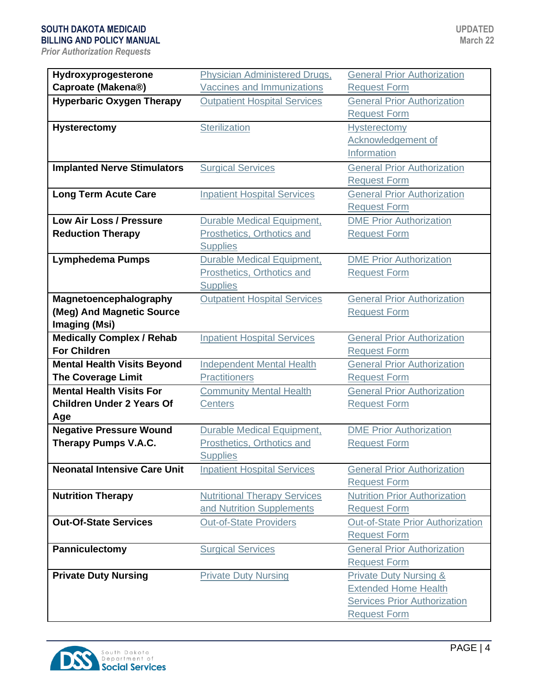| Hydroxyprogesterone                 | Physician Administered Drugs,       | <b>General Prior Authorization</b>   |
|-------------------------------------|-------------------------------------|--------------------------------------|
| Caproate (Makena®)                  | <b>Vaccines and Immunizations</b>   | <b>Request Form</b>                  |
| <b>Hyperbaric Oxygen Therapy</b>    | <b>Outpatient Hospital Services</b> | <b>General Prior Authorization</b>   |
|                                     |                                     | <b>Request Form</b>                  |
|                                     |                                     |                                      |
| <b>Hysterectomy</b>                 | Sterilization                       | <b>Hysterectomy</b>                  |
|                                     |                                     | Acknowledgement of                   |
|                                     |                                     | Information                          |
| <b>Implanted Nerve Stimulators</b>  | <b>Surgical Services</b>            | <b>General Prior Authorization</b>   |
|                                     |                                     | <b>Request Form</b>                  |
| <b>Long Term Acute Care</b>         | <b>Inpatient Hospital Services</b>  | <b>General Prior Authorization</b>   |
|                                     |                                     | <b>Request Form</b>                  |
| Low Air Loss / Pressure             | <b>Durable Medical Equipment,</b>   | <b>DME Prior Authorization</b>       |
| <b>Reduction Therapy</b>            | Prosthetics, Orthotics and          | <b>Request Form</b>                  |
|                                     | <b>Supplies</b>                     |                                      |
| <b>Lymphedema Pumps</b>             | <b>Durable Medical Equipment,</b>   | <b>DME Prior Authorization</b>       |
|                                     | Prosthetics, Orthotics and          | <b>Request Form</b>                  |
|                                     | <b>Supplies</b>                     |                                      |
| Magnetoencephalography              | <b>Outpatient Hospital Services</b> | <b>General Prior Authorization</b>   |
| (Meg) And Magnetic Source           |                                     | <b>Request Form</b>                  |
| <b>Imaging (Msi)</b>                |                                     |                                      |
| <b>Medically Complex / Rehab</b>    | <b>Inpatient Hospital Services</b>  | <b>General Prior Authorization</b>   |
| <b>For Children</b>                 |                                     | <b>Request Form</b>                  |
| <b>Mental Health Visits Beyond</b>  | <b>Independent Mental Health</b>    | <b>General Prior Authorization</b>   |
| <b>The Coverage Limit</b>           | <b>Practitioners</b>                | <b>Request Form</b>                  |
| <b>Mental Health Visits For</b>     | <b>Community Mental Health</b>      | <b>General Prior Authorization</b>   |
| <b>Children Under 2 Years Of</b>    | <b>Centers</b>                      | <b>Request Form</b>                  |
| Age                                 |                                     |                                      |
| <b>Negative Pressure Wound</b>      | <b>Durable Medical Equipment,</b>   | <b>DME Prior Authorization</b>       |
| Therapy Pumps V.A.C.                | Prosthetics, Orthotics and          | <b>Request Form</b>                  |
|                                     | <b>Supplies</b>                     |                                      |
| <b>Neonatal Intensive Care Unit</b> | <b>Inpatient Hospital Services</b>  | <b>General Prior Authorization</b>   |
|                                     |                                     | <b>Request Form</b>                  |
| <b>Nutrition Therapy</b>            | <b>Nutritional Therapy Services</b> | <b>Nutrition Prior Authorization</b> |
|                                     | and Nutrition Supplements           | <b>Request Form</b>                  |
| <b>Out-Of-State Services</b>        | <b>Out-of-State Providers</b>       | Out-of-State Prior Authorization     |
|                                     |                                     | <b>Request Form</b>                  |
| Panniculectomy                      | <b>Surgical Services</b>            | <b>General Prior Authorization</b>   |
|                                     |                                     | <b>Request Form</b>                  |
| <b>Private Duty Nursing</b>         | <b>Private Duty Nursing</b>         | <b>Private Duty Nursing &amp;</b>    |
|                                     |                                     | <b>Extended Home Health</b>          |
|                                     |                                     | <b>Services Prior Authorization</b>  |
|                                     |                                     | <b>Request Form</b>                  |
|                                     |                                     |                                      |

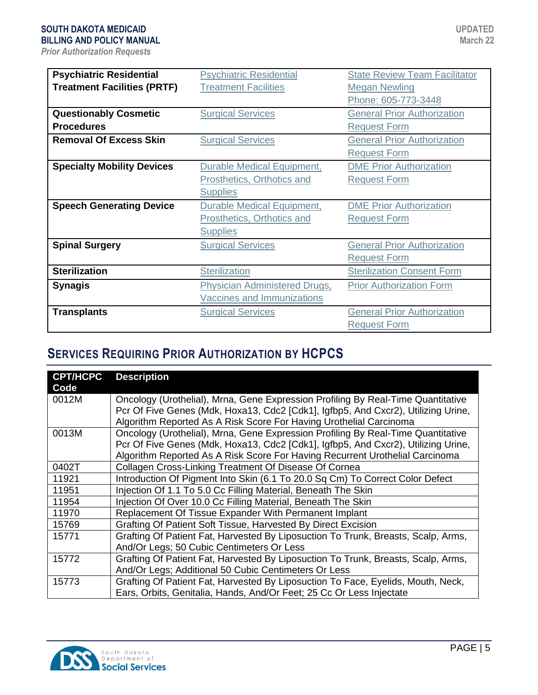| <b>Psychiatric Residential</b>     | <b>Psychiatric Residential</b>       | <b>State Review Team Facilitator</b> |
|------------------------------------|--------------------------------------|--------------------------------------|
| <b>Treatment Facilities (PRTF)</b> | <b>Treatment Facilities</b>          | <b>Megan Newling</b>                 |
|                                    |                                      | Phone: 605-773-3448                  |
| <b>Questionably Cosmetic</b>       | <b>Surgical Services</b>             | <b>General Prior Authorization</b>   |
| <b>Procedures</b>                  |                                      | <b>Request Form</b>                  |
| <b>Removal Of Excess Skin</b>      | <b>Surgical Services</b>             | <b>General Prior Authorization</b>   |
|                                    |                                      | <b>Request Form</b>                  |
| <b>Specialty Mobility Devices</b>  | <b>Durable Medical Equipment,</b>    | <b>DME Prior Authorization</b>       |
|                                    | Prosthetics, Orthotics and           | <b>Request Form</b>                  |
|                                    | <b>Supplies</b>                      |                                      |
| <b>Speech Generating Device</b>    | <b>Durable Medical Equipment,</b>    | <b>DME Prior Authorization</b>       |
|                                    | Prosthetics, Orthotics and           | <b>Request Form</b>                  |
|                                    | <b>Supplies</b>                      |                                      |
| <b>Spinal Surgery</b>              | <b>Surgical Services</b>             | <b>General Prior Authorization</b>   |
|                                    |                                      | <b>Request Form</b>                  |
| <b>Sterilization</b>               | <b>Sterilization</b>                 | <b>Sterilization Consent Form</b>    |
| <b>Synagis</b>                     | <b>Physician Administered Drugs,</b> | <b>Prior Authorization Form</b>      |
|                                    | <b>Vaccines and Immunizations</b>    |                                      |
| <b>Transplants</b>                 | <b>Surgical Services</b>             | <b>General Prior Authorization</b>   |
|                                    |                                      | <b>Request Form</b>                  |

## **SERVICES REQUIRING PRIOR AUTHORIZATION BY HCPCS**

| <b>CPT/HCPC</b><br>Code | <b>Description</b>                                                                                                                                                                                                                                    |
|-------------------------|-------------------------------------------------------------------------------------------------------------------------------------------------------------------------------------------------------------------------------------------------------|
| 0012M                   | Oncology (Urothelial), Mrna, Gene Expression Profiling By Real-Time Quantitative<br>Pcr Of Five Genes (Mdk, Hoxa13, Cdc2 [Cdk1], Igfbp5, And Cxcr2), Utilizing Urine,<br>Algorithm Reported As A Risk Score For Having Urothelial Carcinoma           |
| 0013M                   | Oncology (Urothelial), Mrna, Gene Expression Profiling By Real-Time Quantitative<br>Pcr Of Five Genes (Mdk, Hoxa13, Cdc2 [Cdk1], Igfbp5, And Cxcr2), Utilizing Urine,<br>Algorithm Reported As A Risk Score For Having Recurrent Urothelial Carcinoma |
| 0402T                   | Collagen Cross-Linking Treatment Of Disease Of Cornea                                                                                                                                                                                                 |
| 11921                   | Introduction Of Pigment Into Skin (6.1 To 20.0 Sq Cm) To Correct Color Defect                                                                                                                                                                         |
| 11951                   | Injection Of 1.1 To 5.0 Cc Filling Material, Beneath The Skin                                                                                                                                                                                         |
| 11954                   | Injection Of Over 10.0 Cc Filling Material, Beneath The Skin                                                                                                                                                                                          |
| 11970                   | Replacement Of Tissue Expander With Permanent Implant                                                                                                                                                                                                 |
| 15769                   | Grafting Of Patient Soft Tissue, Harvested By Direct Excision                                                                                                                                                                                         |
| 15771                   | Grafting Of Patient Fat, Harvested By Liposuction To Trunk, Breasts, Scalp, Arms,<br>And/Or Legs; 50 Cubic Centimeters Or Less                                                                                                                        |
| 15772                   | Grafting Of Patient Fat, Harvested By Liposuction To Trunk, Breasts, Scalp, Arms,<br>And/Or Legs; Additional 50 Cubic Centimeters Or Less                                                                                                             |
| 15773                   | Grafting Of Patient Fat, Harvested By Liposuction To Face, Eyelids, Mouth, Neck,<br>Ears, Orbits, Genitalia, Hands, And/Or Feet; 25 Cc Or Less Injectate                                                                                              |

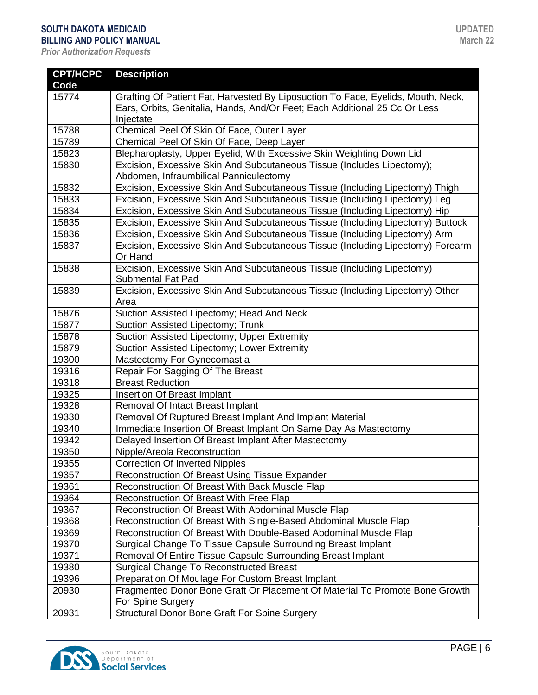| <b>CPT/HCPC</b><br>Code | <b>Description</b>                                                                               |
|-------------------------|--------------------------------------------------------------------------------------------------|
| 15774                   | Grafting Of Patient Fat, Harvested By Liposuction To Face, Eyelids, Mouth, Neck,                 |
|                         | Ears, Orbits, Genitalia, Hands, And/Or Feet; Each Additional 25 Cc Or Less                       |
|                         | Injectate                                                                                        |
| 15788                   | Chemical Peel Of Skin Of Face, Outer Layer                                                       |
| 15789                   | Chemical Peel Of Skin Of Face, Deep Layer                                                        |
| 15823                   | Blepharoplasty, Upper Eyelid; With Excessive Skin Weighting Down Lid                             |
| 15830                   | Excision, Excessive Skin And Subcutaneous Tissue (Includes Lipectomy);                           |
|                         | Abdomen, Infraumbilical Panniculectomy                                                           |
| 15832                   | Excision, Excessive Skin And Subcutaneous Tissue (Including Lipectomy) Thigh                     |
| 15833                   | Excision, Excessive Skin And Subcutaneous Tissue (Including Lipectomy) Leg                       |
| 15834                   | Excision, Excessive Skin And Subcutaneous Tissue (Including Lipectomy) Hip                       |
| 15835                   | Excision, Excessive Skin And Subcutaneous Tissue (Including Lipectomy) Buttock                   |
| 15836                   | Excision, Excessive Skin And Subcutaneous Tissue (Including Lipectomy) Arm                       |
| 15837                   | Excision, Excessive Skin And Subcutaneous Tissue (Including Lipectomy) Forearm                   |
|                         | Or Hand                                                                                          |
| 15838                   | Excision, Excessive Skin And Subcutaneous Tissue (Including Lipectomy)                           |
|                         | <b>Submental Fat Pad</b>                                                                         |
| 15839                   | Excision, Excessive Skin And Subcutaneous Tissue (Including Lipectomy) Other                     |
|                         | Area                                                                                             |
| 15876                   | Suction Assisted Lipectomy; Head And Neck                                                        |
| 15877                   | Suction Assisted Lipectomy; Trunk                                                                |
| 15878                   | Suction Assisted Lipectomy; Upper Extremity                                                      |
| 15879                   | Suction Assisted Lipectomy; Lower Extremity                                                      |
| 19300                   | Mastectomy For Gynecomastia                                                                      |
| 19316                   | Repair For Sagging Of The Breast                                                                 |
| 19318                   | <b>Breast Reduction</b>                                                                          |
| 19325                   | Insertion Of Breast Implant                                                                      |
| 19328                   | Removal Of Intact Breast Implant                                                                 |
| 19330                   | Removal Of Ruptured Breast Implant And Implant Material                                          |
| 19340                   | Immediate Insertion Of Breast Implant On Same Day As Mastectomy                                  |
| 19342                   | Delayed Insertion Of Breast Implant After Mastectomy                                             |
| 19350                   | Nipple/Areola Reconstruction                                                                     |
| 19355                   | Correction Of Inverted Nipples                                                                   |
| 19357                   | Reconstruction Of Breast Using Tissue Expander                                                   |
| 19361                   | Reconstruction Of Breast With Back Muscle Flap                                                   |
| 19364                   | Reconstruction Of Breast With Free Flap                                                          |
| 19367                   | Reconstruction Of Breast With Abdominal Muscle Flap                                              |
| 19368                   | Reconstruction Of Breast With Single-Based Abdominal Muscle Flap                                 |
| 19369                   | Reconstruction Of Breast With Double-Based Abdominal Muscle Flap                                 |
| 19370                   | Surgical Change To Tissue Capsule Surrounding Breast Implant                                     |
| 19371                   | Removal Of Entire Tissue Capsule Surrounding Breast Implant                                      |
| 19380                   | <b>Surgical Change To Reconstructed Breast</b>                                                   |
| 19396                   | Preparation Of Moulage For Custom Breast Implant                                                 |
| 20930                   | Fragmented Donor Bone Graft Or Placement Of Material To Promote Bone Growth<br>For Spine Surgery |
| 20931                   | <b>Structural Donor Bone Graft For Spine Surgery</b>                                             |

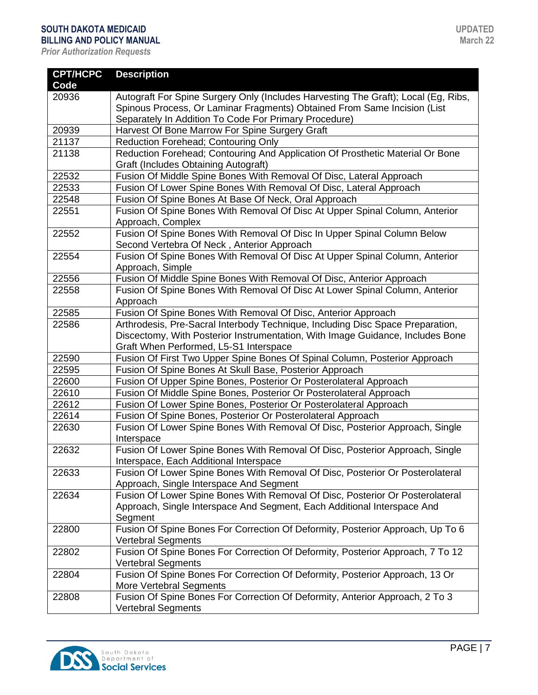| <b>CPT/HCPC</b> | <b>Description</b>                                                                                      |
|-----------------|---------------------------------------------------------------------------------------------------------|
| Code            |                                                                                                         |
| 20936           | Autograft For Spine Surgery Only (Includes Harvesting The Graft); Local (Eg, Ribs,                      |
|                 | Spinous Process, Or Laminar Fragments) Obtained From Same Incision (List                                |
|                 | Separately In Addition To Code For Primary Procedure)                                                   |
| 20939           | Harvest Of Bone Marrow For Spine Surgery Graft                                                          |
| 21137           | <b>Reduction Forehead; Contouring Only</b>                                                              |
| 21138           | Reduction Forehead; Contouring And Application Of Prosthetic Material Or Bone                           |
|                 | <b>Graft (Includes Obtaining Autograft)</b>                                                             |
| 22532           | Fusion Of Middle Spine Bones With Removal Of Disc, Lateral Approach                                     |
| 22533           | Fusion Of Lower Spine Bones With Removal Of Disc, Lateral Approach                                      |
| 22548           | Fusion Of Spine Bones At Base Of Neck, Oral Approach                                                    |
| 22551           | Fusion Of Spine Bones With Removal Of Disc At Upper Spinal Column, Anterior                             |
|                 | Approach, Complex                                                                                       |
| 22552           | Fusion Of Spine Bones With Removal Of Disc In Upper Spinal Column Below                                 |
|                 | Second Vertebra Of Neck, Anterior Approach                                                              |
| 22554           | Fusion Of Spine Bones With Removal Of Disc At Upper Spinal Column, Anterior                             |
|                 | Approach, Simple                                                                                        |
| 22556           | Fusion Of Middle Spine Bones With Removal Of Disc, Anterior Approach                                    |
| 22558           | Fusion Of Spine Bones With Removal Of Disc At Lower Spinal Column, Anterior                             |
|                 | Approach                                                                                                |
| 22585           | Fusion Of Spine Bones With Removal Of Disc, Anterior Approach                                           |
| 22586           | Arthrodesis, Pre-Sacral Interbody Technique, Including Disc Space Preparation,                          |
|                 | Discectomy, With Posterior Instrumentation, With Image Guidance, Includes Bone                          |
|                 | Graft When Performed, L5-S1 Interspace                                                                  |
| 22590           | Fusion Of First Two Upper Spine Bones Of Spinal Column, Posterior Approach                              |
| 22595           | Fusion Of Spine Bones At Skull Base, Posterior Approach                                                 |
| 22600           | Fusion Of Upper Spine Bones, Posterior Or Posterolateral Approach                                       |
| 22610           | Fusion Of Middle Spine Bones, Posterior Or Posterolateral Approach                                      |
| 22612           | Fusion Of Lower Spine Bones, Posterior Or Posterolateral Approach                                       |
| 22614           | Fusion Of Spine Bones, Posterior Or Posterolateral Approach                                             |
| 22630           | Fusion Of Lower Spine Bones With Removal Of Disc, Posterior Approach, Single                            |
|                 | Interspace                                                                                              |
| 22632           | Fusion Of Lower Spine Bones With Removal Of Disc, Posterior Approach, Single                            |
|                 | Interspace, Each Additional Interspace                                                                  |
| 22633           | Fusion Of Lower Spine Bones With Removal Of Disc, Posterior Or Posterolateral                           |
|                 | Approach, Single Interspace And Segment                                                                 |
| 22634           | Fusion Of Lower Spine Bones With Removal Of Disc, Posterior Or Posterolateral                           |
|                 | Approach, Single Interspace And Segment, Each Additional Interspace And                                 |
|                 | Segment                                                                                                 |
| 22800           | Fusion Of Spine Bones For Correction Of Deformity, Posterior Approach, Up To 6                          |
|                 | <b>Vertebral Segments</b>                                                                               |
| 22802           | Fusion Of Spine Bones For Correction Of Deformity, Posterior Approach, 7 To 12                          |
|                 | <b>Vertebral Segments</b>                                                                               |
| 22804           | Fusion Of Spine Bones For Correction Of Deformity, Posterior Approach, 13 Or                            |
| 22808           | More Vertebral Segments<br>Fusion Of Spine Bones For Correction Of Deformity, Anterior Approach, 2 To 3 |
|                 | <b>Vertebral Segments</b>                                                                               |
|                 |                                                                                                         |

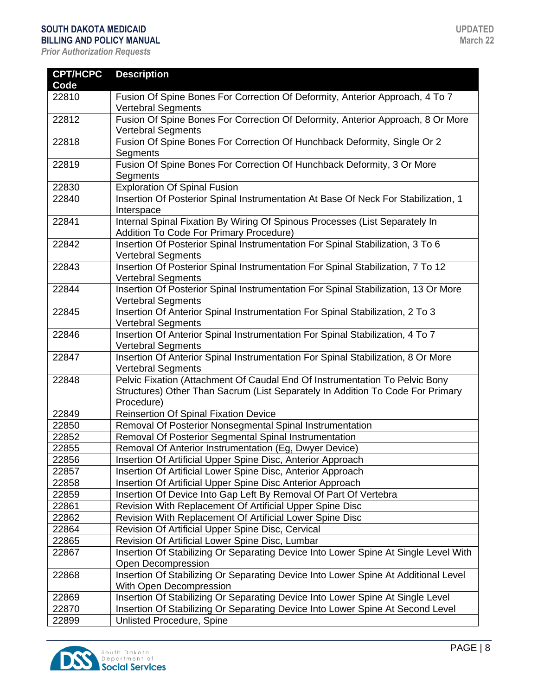| <b>CPT/HCPC</b><br>Code | <b>Description</b>                                                                                                                                                          |
|-------------------------|-----------------------------------------------------------------------------------------------------------------------------------------------------------------------------|
| 22810                   | Fusion Of Spine Bones For Correction Of Deformity, Anterior Approach, 4 To 7<br><b>Vertebral Segments</b>                                                                   |
| 22812                   | Fusion Of Spine Bones For Correction Of Deformity, Anterior Approach, 8 Or More<br><b>Vertebral Segments</b>                                                                |
| 22818                   | Fusion Of Spine Bones For Correction Of Hunchback Deformity, Single Or 2<br>Segments                                                                                        |
| 22819                   | Fusion Of Spine Bones For Correction Of Hunchback Deformity, 3 Or More<br>Segments                                                                                          |
| 22830                   | <b>Exploration Of Spinal Fusion</b>                                                                                                                                         |
| 22840                   | Insertion Of Posterior Spinal Instrumentation At Base Of Neck For Stabilization, 1<br>Interspace                                                                            |
| 22841                   | Internal Spinal Fixation By Wiring Of Spinous Processes (List Separately In<br>Addition To Code For Primary Procedure)                                                      |
| 22842                   | Insertion Of Posterior Spinal Instrumentation For Spinal Stabilization, 3 To 6<br><b>Vertebral Segments</b>                                                                 |
| 22843                   | Insertion Of Posterior Spinal Instrumentation For Spinal Stabilization, 7 To 12<br><b>Vertebral Segments</b>                                                                |
| 22844                   | Insertion Of Posterior Spinal Instrumentation For Spinal Stabilization, 13 Or More<br><b>Vertebral Segments</b>                                                             |
| 22845                   | Insertion Of Anterior Spinal Instrumentation For Spinal Stabilization, 2 To 3<br><b>Vertebral Segments</b>                                                                  |
| 22846                   | Insertion Of Anterior Spinal Instrumentation For Spinal Stabilization, 4 To 7<br><b>Vertebral Segments</b>                                                                  |
| 22847                   | Insertion Of Anterior Spinal Instrumentation For Spinal Stabilization, 8 Or More<br><b>Vertebral Segments</b>                                                               |
| 22848                   | Pelvic Fixation (Attachment Of Caudal End Of Instrumentation To Pelvic Bony<br>Structures) Other Than Sacrum (List Separately In Addition To Code For Primary<br>Procedure) |
| 22849                   | <b>Reinsertion Of Spinal Fixation Device</b>                                                                                                                                |
| 22850                   | Removal Of Posterior Nonsegmental Spinal Instrumentation                                                                                                                    |
| 22852                   | Removal Of Posterior Segmental Spinal Instrumentation                                                                                                                       |
| 22855                   | Removal Of Anterior Instrumentation (Eg, Dwyer Device)                                                                                                                      |
| 22856                   | Insertion Of Artificial Upper Spine Disc, Anterior Approach                                                                                                                 |
| 22857                   | Insertion Of Artificial Lower Spine Disc, Anterior Approach                                                                                                                 |
| 22858                   | Insertion Of Artificial Upper Spine Disc Anterior Approach                                                                                                                  |
| 22859                   | Insertion Of Device Into Gap Left By Removal Of Part Of Vertebra                                                                                                            |
| 22861                   | Revision With Replacement Of Artificial Upper Spine Disc                                                                                                                    |
| 22862                   | Revision With Replacement Of Artificial Lower Spine Disc                                                                                                                    |
| 22864                   | Revision Of Artificial Upper Spine Disc, Cervical                                                                                                                           |
| 22865                   | Revision Of Artificial Lower Spine Disc, Lumbar                                                                                                                             |
| 22867                   | Insertion Of Stabilizing Or Separating Device Into Lower Spine At Single Level With<br>Open Decompression                                                                   |
| 22868                   | Insertion Of Stabilizing Or Separating Device Into Lower Spine At Additional Level<br>With Open Decompression                                                               |
| 22869                   | Insertion Of Stabilizing Or Separating Device Into Lower Spine At Single Level                                                                                              |
| 22870                   | Insertion Of Stabilizing Or Separating Device Into Lower Spine At Second Level                                                                                              |
| 22899                   | Unlisted Procedure, Spine                                                                                                                                                   |

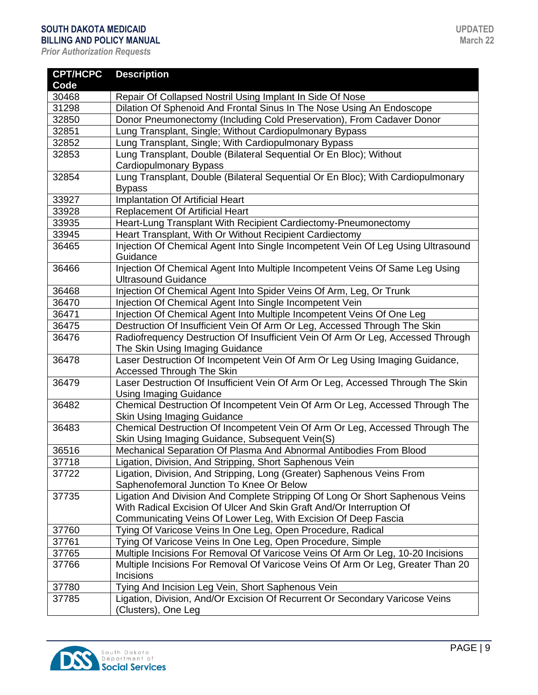| <b>CPT/HCPC</b> | <b>Description</b>                                                                                          |
|-----------------|-------------------------------------------------------------------------------------------------------------|
| Code            |                                                                                                             |
| 30468           | Repair Of Collapsed Nostril Using Implant In Side Of Nose                                                   |
| 31298           | Dilation Of Sphenoid And Frontal Sinus In The Nose Using An Endoscope                                       |
| 32850           | Donor Pneumonectomy (Including Cold Preservation), From Cadaver Donor                                       |
| 32851           | Lung Transplant, Single; Without Cardiopulmonary Bypass                                                     |
| 32852           | Lung Transplant, Single; With Cardiopulmonary Bypass                                                        |
| 32853           | Lung Transplant, Double (Bilateral Sequential Or En Bloc); Without                                          |
|                 | Cardiopulmonary Bypass                                                                                      |
| 32854           | Lung Transplant, Double (Bilateral Sequential Or En Bloc); With Cardiopulmonary                             |
|                 | <b>Bypass</b>                                                                                               |
| 33927           | <b>Implantation Of Artificial Heart</b>                                                                     |
| 33928           | <b>Replacement Of Artificial Heart</b>                                                                      |
| 33935           | Heart-Lung Transplant With Recipient Cardiectomy-Pneumonectomy                                              |
| 33945           | Heart Transplant, With Or Without Recipient Cardiectomy                                                     |
| 36465           | Injection Of Chemical Agent Into Single Incompetent Vein Of Leg Using Ultrasound                            |
|                 | Guidance                                                                                                    |
| 36466           | Injection Of Chemical Agent Into Multiple Incompetent Veins Of Same Leg Using                               |
|                 | <b>Ultrasound Guidance</b>                                                                                  |
| 36468           | Injection Of Chemical Agent Into Spider Veins Of Arm, Leg, Or Trunk                                         |
| 36470           | Injection Of Chemical Agent Into Single Incompetent Vein                                                    |
| 36471           | Injection Of Chemical Agent Into Multiple Incompetent Veins Of One Leg                                      |
| 36475           | Destruction Of Insufficient Vein Of Arm Or Leg, Accessed Through The Skin                                   |
| 36476           | Radiofrequency Destruction Of Insufficient Vein Of Arm Or Leg, Accessed Through                             |
|                 | The Skin Using Imaging Guidance                                                                             |
| 36478           | Laser Destruction Of Incompetent Vein Of Arm Or Leg Using Imaging Guidance,                                 |
|                 | <b>Accessed Through The Skin</b>                                                                            |
| 36479           | Laser Destruction Of Insufficient Vein Of Arm Or Leg, Accessed Through The Skin                             |
|                 | <b>Using Imaging Guidance</b>                                                                               |
| 36482           | Chemical Destruction Of Incompetent Vein Of Arm Or Leg, Accessed Through The                                |
| 36483           | Skin Using Imaging Guidance<br>Chemical Destruction Of Incompetent Vein Of Arm Or Leg, Accessed Through The |
|                 | Skin Using Imaging Guidance, Subsequent Vein(S)                                                             |
| 36516           | Mechanical Separation Of Plasma And Abnormal Antibodies From Blood                                          |
| 37718           | Ligation, Division, And Stripping, Short Saphenous Vein                                                     |
| 37722           | Ligation, Division, And Stripping, Long (Greater) Saphenous Veins From                                      |
|                 | Saphenofemoral Junction To Knee Or Below                                                                    |
| 37735           | Ligation And Division And Complete Stripping Of Long Or Short Saphenous Veins                               |
|                 | With Radical Excision Of Ulcer And Skin Graft And/Or Interruption Of                                        |
|                 | Communicating Veins Of Lower Leg, With Excision Of Deep Fascia                                              |
| 37760           | Tying Of Varicose Veins In One Leg, Open Procedure, Radical                                                 |
| 37761           | Tying Of Varicose Veins In One Leg, Open Procedure, Simple                                                  |
| 37765           | Multiple Incisions For Removal Of Varicose Veins Of Arm Or Leg, 10-20 Incisions                             |
| 37766           | Multiple Incisions For Removal Of Varicose Veins Of Arm Or Leg, Greater Than 20                             |
|                 | Incisions                                                                                                   |
| 37780           | Tying And Incision Leg Vein, Short Saphenous Vein                                                           |
| 37785           | Ligation, Division, And/Or Excision Of Recurrent Or Secondary Varicose Veins                                |
|                 | (Clusters), One Leg                                                                                         |

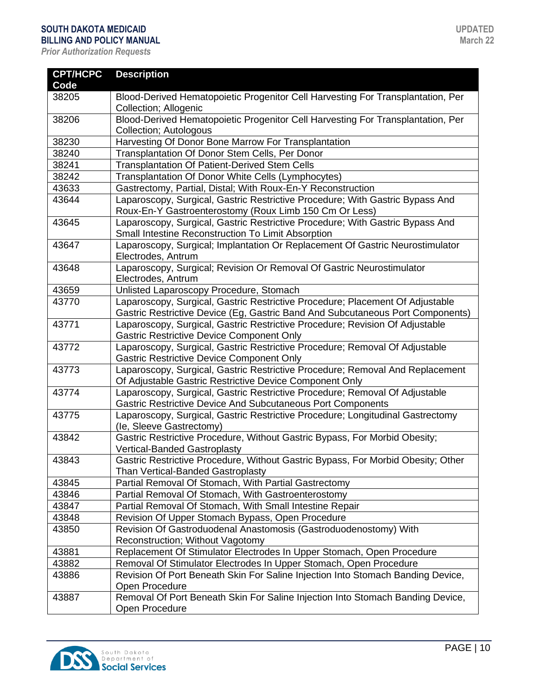| <b>CPT/HCPC</b> | <b>Description</b>                                                                                     |
|-----------------|--------------------------------------------------------------------------------------------------------|
| Code            |                                                                                                        |
| 38205           | Blood-Derived Hematopoietic Progenitor Cell Harvesting For Transplantation, Per                        |
|                 | Collection; Allogenic                                                                                  |
| 38206           | Blood-Derived Hematopoietic Progenitor Cell Harvesting For Transplantation, Per                        |
|                 | Collection; Autologous                                                                                 |
| 38230           | Harvesting Of Donor Bone Marrow For Transplantation                                                    |
| 38240           | Transplantation Of Donor Stem Cells, Per Donor                                                         |
| 38241           | <b>Transplantation Of Patient-Derived Stem Cells</b>                                                   |
| 38242           | Transplantation Of Donor White Cells (Lymphocytes)                                                     |
| 43633           | Gastrectomy, Partial, Distal; With Roux-En-Y Reconstruction                                            |
| 43644           | Laparoscopy, Surgical, Gastric Restrictive Procedure; With Gastric Bypass And                          |
|                 | Roux-En-Y Gastroenterostomy (Roux Limb 150 Cm Or Less)                                                 |
| 43645           | Laparoscopy, Surgical, Gastric Restrictive Procedure; With Gastric Bypass And                          |
|                 | Small Intestine Reconstruction To Limit Absorption                                                     |
| 43647           | Laparoscopy, Surgical; Implantation Or Replacement Of Gastric Neurostimulator                          |
|                 | Electrodes, Antrum                                                                                     |
| 43648           | Laparoscopy, Surgical; Revision Or Removal Of Gastric Neurostimulator                                  |
|                 | Electrodes, Antrum                                                                                     |
| 43659           | Unlisted Laparoscopy Procedure, Stomach                                                                |
| 43770           | Laparoscopy, Surgical, Gastric Restrictive Procedure; Placement Of Adjustable                          |
|                 | Gastric Restrictive Device (Eg, Gastric Band And Subcutaneous Port Components)                         |
| 43771           | Laparoscopy, Surgical, Gastric Restrictive Procedure; Revision Of Adjustable                           |
|                 | Gastric Restrictive Device Component Only                                                              |
| 43772           | Laparoscopy, Surgical, Gastric Restrictive Procedure; Removal Of Adjustable                            |
|                 | <b>Gastric Restrictive Device Component Only</b>                                                       |
| 43773           | Laparoscopy, Surgical, Gastric Restrictive Procedure; Removal And Replacement                          |
|                 | Of Adjustable Gastric Restrictive Device Component Only                                                |
| 43774           | Laparoscopy, Surgical, Gastric Restrictive Procedure; Removal Of Adjustable                            |
|                 | Gastric Restrictive Device And Subcutaneous Port Components                                            |
| 43775           | Laparoscopy, Surgical, Gastric Restrictive Procedure; Longitudinal Gastrectomy                         |
| 43842           | (le, Sleeve Gastrectomy)<br>Gastric Restrictive Procedure, Without Gastric Bypass, For Morbid Obesity; |
|                 | <b>Vertical-Banded Gastroplasty</b>                                                                    |
| 43843           | Gastric Restrictive Procedure, Without Gastric Bypass, For Morbid Obesity; Other                       |
|                 | Than Vertical-Banded Gastroplasty                                                                      |
| 43845           | Partial Removal Of Stomach, With Partial Gastrectomy                                                   |
| 43846           | Partial Removal Of Stomach, With Gastroenterostomy                                                     |
| 43847           | Partial Removal Of Stomach, With Small Intestine Repair                                                |
| 43848           | Revision Of Upper Stomach Bypass, Open Procedure                                                       |
| 43850           | Revision Of Gastroduodenal Anastomosis (Gastroduodenostomy) With                                       |
|                 | Reconstruction; Without Vagotomy                                                                       |
| 43881           | Replacement Of Stimulator Electrodes In Upper Stomach, Open Procedure                                  |
| 43882           | Removal Of Stimulator Electrodes In Upper Stomach, Open Procedure                                      |
| 43886           | Revision Of Port Beneath Skin For Saline Injection Into Stomach Banding Device,                        |
|                 | Open Procedure                                                                                         |
| 43887           | Removal Of Port Beneath Skin For Saline Injection Into Stomach Banding Device,                         |
|                 | Open Procedure                                                                                         |

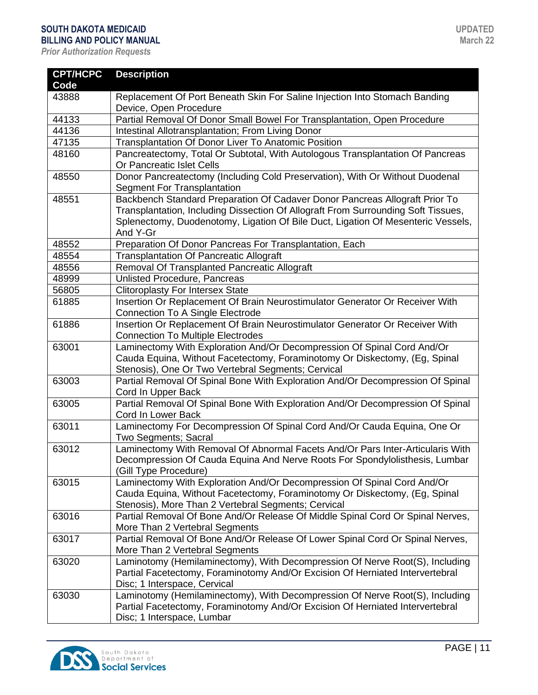| <b>CPT/HCPC</b><br>Code | <b>Description</b>                                                                                                                                                                                                                                               |
|-------------------------|------------------------------------------------------------------------------------------------------------------------------------------------------------------------------------------------------------------------------------------------------------------|
| 43888                   | Replacement Of Port Beneath Skin For Saline Injection Into Stomach Banding                                                                                                                                                                                       |
|                         | Device, Open Procedure                                                                                                                                                                                                                                           |
| 44133                   | Partial Removal Of Donor Small Bowel For Transplantation, Open Procedure                                                                                                                                                                                         |
| 44136                   | Intestinal Allotransplantation; From Living Donor                                                                                                                                                                                                                |
| 47135                   | Transplantation Of Donor Liver To Anatomic Position                                                                                                                                                                                                              |
| 48160                   | Pancreatectomy, Total Or Subtotal, With Autologous Transplantation Of Pancreas                                                                                                                                                                                   |
|                         | Or Pancreatic Islet Cells                                                                                                                                                                                                                                        |
| 48550                   | Donor Pancreatectomy (Including Cold Preservation), With Or Without Duodenal<br>Segment For Transplantation                                                                                                                                                      |
| 48551                   | Backbench Standard Preparation Of Cadaver Donor Pancreas Allograft Prior To<br>Transplantation, Including Dissection Of Allograft From Surrounding Soft Tissues,<br>Splenectomy, Duodenotomy, Ligation Of Bile Duct, Ligation Of Mesenteric Vessels,<br>And Y-Gr |
| 48552                   | Preparation Of Donor Pancreas For Transplantation, Each                                                                                                                                                                                                          |
| 48554                   | <b>Transplantation Of Pancreatic Allograft</b>                                                                                                                                                                                                                   |
| 48556                   | Removal Of Transplanted Pancreatic Allograft                                                                                                                                                                                                                     |
| 48999                   | Unlisted Procedure, Pancreas                                                                                                                                                                                                                                     |
| 56805                   | <b>Clitoroplasty For Intersex State</b>                                                                                                                                                                                                                          |
| 61885                   | Insertion Or Replacement Of Brain Neurostimulator Generator Or Receiver With<br><b>Connection To A Single Electrode</b>                                                                                                                                          |
| 61886                   | Insertion Or Replacement Of Brain Neurostimulator Generator Or Receiver With<br><b>Connection To Multiple Electrodes</b>                                                                                                                                         |
| 63001                   | Laminectomy With Exploration And/Or Decompression Of Spinal Cord And/Or<br>Cauda Equina, Without Facetectomy, Foraminotomy Or Diskectomy, (Eg, Spinal<br>Stenosis), One Or Two Vertebral Segments; Cervical                                                      |
| 63003                   | Partial Removal Of Spinal Bone With Exploration And/Or Decompression Of Spinal<br>Cord In Upper Back                                                                                                                                                             |
| 63005                   | Partial Removal Of Spinal Bone With Exploration And/Or Decompression Of Spinal<br>Cord In Lower Back                                                                                                                                                             |
| 63011                   | Laminectomy For Decompression Of Spinal Cord And/Or Cauda Equina, One Or<br>Two Segments; Sacral                                                                                                                                                                 |
| 63012                   | Laminectomy With Removal Of Abnormal Facets And/Or Pars Inter-Articularis With<br>Decompression Of Cauda Equina And Nerve Roots For Spondylolisthesis, Lumbar<br>(Gill Type Procedure)                                                                           |
| 63015                   | Laminectomy With Exploration And/Or Decompression Of Spinal Cord And/Or<br>Cauda Equina, Without Facetectomy, Foraminotomy Or Diskectomy, (Eg, Spinal<br>Stenosis), More Than 2 Vertebral Segments; Cervical                                                     |
| 63016                   | Partial Removal Of Bone And/Or Release Of Middle Spinal Cord Or Spinal Nerves,<br>More Than 2 Vertebral Segments                                                                                                                                                 |
| 63017                   | Partial Removal Of Bone And/Or Release Of Lower Spinal Cord Or Spinal Nerves,<br>More Than 2 Vertebral Segments                                                                                                                                                  |
| 63020                   | Laminotomy (Hemilaminectomy), With Decompression Of Nerve Root(S), Including<br>Partial Facetectomy, Foraminotomy And/Or Excision Of Herniated Intervertebral<br>Disc; 1 Interspace, Cervical                                                                    |
| 63030                   | Laminotomy (Hemilaminectomy), With Decompression Of Nerve Root(S), Including<br>Partial Facetectomy, Foraminotomy And/Or Excision Of Herniated Intervertebral<br>Disc; 1 Interspace, Lumbar                                                                      |

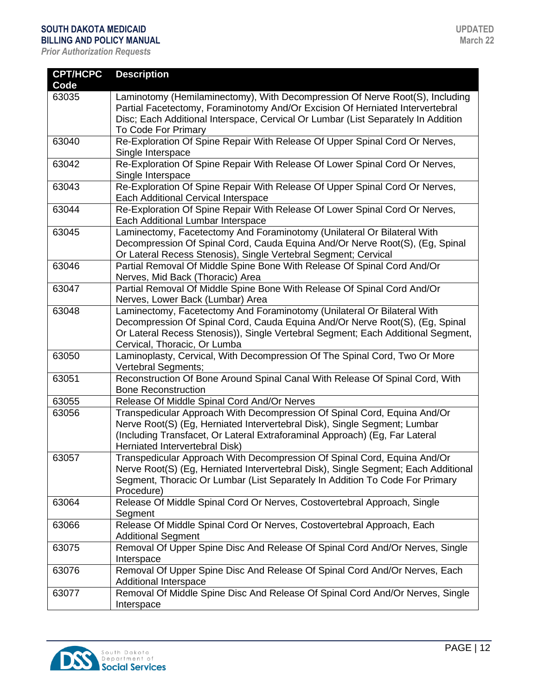| <b>CPT/HCPC</b> | <b>Description</b>                                                                                                                                    |
|-----------------|-------------------------------------------------------------------------------------------------------------------------------------------------------|
| Code            |                                                                                                                                                       |
| 63035           | Laminotomy (Hemilaminectomy), With Decompression Of Nerve Root(S), Including                                                                          |
|                 | Partial Facetectomy, Foraminotomy And/Or Excision Of Herniated Intervertebral                                                                         |
|                 | Disc; Each Additional Interspace, Cervical Or Lumbar (List Separately In Addition                                                                     |
|                 | To Code For Primary                                                                                                                                   |
| 63040           | Re-Exploration Of Spine Repair With Release Of Upper Spinal Cord Or Nerves,                                                                           |
|                 | Single Interspace                                                                                                                                     |
| 63042           | Re-Exploration Of Spine Repair With Release Of Lower Spinal Cord Or Nerves,                                                                           |
|                 | Single Interspace                                                                                                                                     |
| 63043           | Re-Exploration Of Spine Repair With Release Of Upper Spinal Cord Or Nerves,                                                                           |
|                 | Each Additional Cervical Interspace                                                                                                                   |
| 63044           | Re-Exploration Of Spine Repair With Release Of Lower Spinal Cord Or Nerves,                                                                           |
|                 | Each Additional Lumbar Interspace                                                                                                                     |
| 63045           | Laminectomy, Facetectomy And Foraminotomy (Unilateral Or Bilateral With                                                                               |
|                 | Decompression Of Spinal Cord, Cauda Equina And/Or Nerve Root(S), (Eg, Spinal                                                                          |
|                 | Or Lateral Recess Stenosis), Single Vertebral Segment; Cervical                                                                                       |
| 63046           | Partial Removal Of Middle Spine Bone With Release Of Spinal Cord And/Or                                                                               |
|                 | Nerves, Mid Back (Thoracic) Area                                                                                                                      |
| 63047           | Partial Removal Of Middle Spine Bone With Release Of Spinal Cord And/Or                                                                               |
|                 | Nerves, Lower Back (Lumbar) Area                                                                                                                      |
| 63048           | Laminectomy, Facetectomy And Foraminotomy (Unilateral Or Bilateral With                                                                               |
|                 | Decompression Of Spinal Cord, Cauda Equina And/Or Nerve Root(S), (Eg, Spinal                                                                          |
|                 | Or Lateral Recess Stenosis)), Single Vertebral Segment; Each Additional Segment,                                                                      |
|                 | Cervical, Thoracic, Or Lumba                                                                                                                          |
| 63050           | Laminoplasty, Cervical, With Decompression Of The Spinal Cord, Two Or More                                                                            |
|                 | Vertebral Segments;                                                                                                                                   |
| 63051           | Reconstruction Of Bone Around Spinal Canal With Release Of Spinal Cord, With                                                                          |
|                 | <b>Bone Reconstruction</b>                                                                                                                            |
| 63055           | Release Of Middle Spinal Cord And/Or Nerves                                                                                                           |
| 63056           | Transpedicular Approach With Decompression Of Spinal Cord, Equina And/Or<br>Nerve Root(S) (Eg, Herniated Intervertebral Disk), Single Segment; Lumbar |
|                 | (Including Transfacet, Or Lateral Extraforaminal Approach) (Eg, Far Lateral                                                                           |
|                 | Herniated Intervertebral Disk)                                                                                                                        |
| 63057           | Transpedicular Approach With Decompression Of Spinal Cord, Equina And/Or                                                                              |
|                 | Nerve Root(S) (Eg, Herniated Intervertebral Disk), Single Segment; Each Additional                                                                    |
|                 | Segment, Thoracic Or Lumbar (List Separately In Addition To Code For Primary                                                                          |
|                 | Procedure)                                                                                                                                            |
| 63064           | Release Of Middle Spinal Cord Or Nerves, Costovertebral Approach, Single                                                                              |
|                 | Segment                                                                                                                                               |
| 63066           | Release Of Middle Spinal Cord Or Nerves, Costovertebral Approach, Each                                                                                |
|                 | <b>Additional Segment</b>                                                                                                                             |
| 63075           | Removal Of Upper Spine Disc And Release Of Spinal Cord And/Or Nerves, Single                                                                          |
|                 | Interspace                                                                                                                                            |
| 63076           | Removal Of Upper Spine Disc And Release Of Spinal Cord And/Or Nerves, Each                                                                            |
|                 | Additional Interspace                                                                                                                                 |
| 63077           | Removal Of Middle Spine Disc And Release Of Spinal Cord And/Or Nerves, Single                                                                         |
|                 | Interspace                                                                                                                                            |

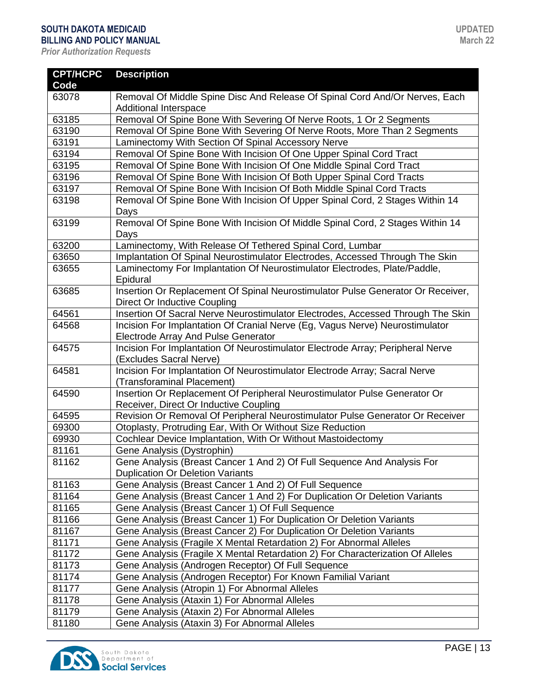| <b>CPT/HCPC</b> | <b>Description</b>                                                                                                  |
|-----------------|---------------------------------------------------------------------------------------------------------------------|
| Code            |                                                                                                                     |
| 63078           | Removal Of Middle Spine Disc And Release Of Spinal Cord And/Or Nerves, Each                                         |
|                 | <b>Additional Interspace</b>                                                                                        |
| 63185           | Removal Of Spine Bone With Severing Of Nerve Roots, 1 Or 2 Segments                                                 |
| 63190           | Removal Of Spine Bone With Severing Of Nerve Roots, More Than 2 Segments                                            |
| 63191           | Laminectomy With Section Of Spinal Accessory Nerve                                                                  |
| 63194           | Removal Of Spine Bone With Incision Of One Upper Spinal Cord Tract                                                  |
| 63195           | Removal Of Spine Bone With Incision Of One Middle Spinal Cord Tract                                                 |
| 63196           | Removal Of Spine Bone With Incision Of Both Upper Spinal Cord Tracts                                                |
| 63197           | Removal Of Spine Bone With Incision Of Both Middle Spinal Cord Tracts                                               |
| 63198           | Removal Of Spine Bone With Incision Of Upper Spinal Cord, 2 Stages Within 14<br>Days                                |
| 63199           | Removal Of Spine Bone With Incision Of Middle Spinal Cord, 2 Stages Within 14<br>Days                               |
| 63200           | Laminectomy, With Release Of Tethered Spinal Cord, Lumbar                                                           |
| 63650           | Implantation Of Spinal Neurostimulator Electrodes, Accessed Through The Skin                                        |
| 63655           | Laminectomy For Implantation Of Neurostimulator Electrodes, Plate/Paddle,<br>Epidural                               |
| 63685           | Insertion Or Replacement Of Spinal Neurostimulator Pulse Generator Or Receiver,<br>Direct Or Inductive Coupling     |
| 64561           | Insertion Of Sacral Nerve Neurostimulator Electrodes, Accessed Through The Skin                                     |
| 64568           | Incision For Implantation Of Cranial Nerve (Eg, Vagus Nerve) Neurostimulator<br>Electrode Array And Pulse Generator |
| 64575           | Incision For Implantation Of Neurostimulator Electrode Array; Peripheral Nerve<br>(Excludes Sacral Nerve)           |
| 64581           | Incision For Implantation Of Neurostimulator Electrode Array; Sacral Nerve<br>(Transforaminal Placement)            |
| 64590           | Insertion Or Replacement Of Peripheral Neurostimulator Pulse Generator Or<br>Receiver, Direct Or Inductive Coupling |
| 64595           | Revision Or Removal Of Peripheral Neurostimulator Pulse Generator Or Receiver                                       |
| 69300           | Otoplasty, Protruding Ear, With Or Without Size Reduction                                                           |
| 69930           | Cochlear Device Implantation, With Or Without Mastoidectomy                                                         |
| 81161           | Gene Analysis (Dystrophin)                                                                                          |
| 81162           | Gene Analysis (Breast Cancer 1 And 2) Of Full Sequence And Analysis For<br><b>Duplication Or Deletion Variants</b>  |
| 81163           | Gene Analysis (Breast Cancer 1 And 2) Of Full Sequence                                                              |
| 81164           | Gene Analysis (Breast Cancer 1 And 2) For Duplication Or Deletion Variants                                          |
| 81165           | Gene Analysis (Breast Cancer 1) Of Full Sequence                                                                    |
| 81166           | Gene Analysis (Breast Cancer 1) For Duplication Or Deletion Variants                                                |
| 81167           | Gene Analysis (Breast Cancer 2) For Duplication Or Deletion Variants                                                |
| 81171           | Gene Analysis (Fragile X Mental Retardation 2) For Abnormal Alleles                                                 |
| 81172           | Gene Analysis (Fragile X Mental Retardation 2) For Characterization Of Alleles                                      |
| 81173           | Gene Analysis (Androgen Receptor) Of Full Sequence                                                                  |
| 81174           | Gene Analysis (Androgen Receptor) For Known Familial Variant                                                        |
| 81177           | Gene Analysis (Atropin 1) For Abnormal Alleles                                                                      |
| 81178           | Gene Analysis (Ataxin 1) For Abnormal Alleles                                                                       |
| 81179           | Gene Analysis (Ataxin 2) For Abnormal Alleles                                                                       |
| 81180           | Gene Analysis (Ataxin 3) For Abnormal Alleles                                                                       |

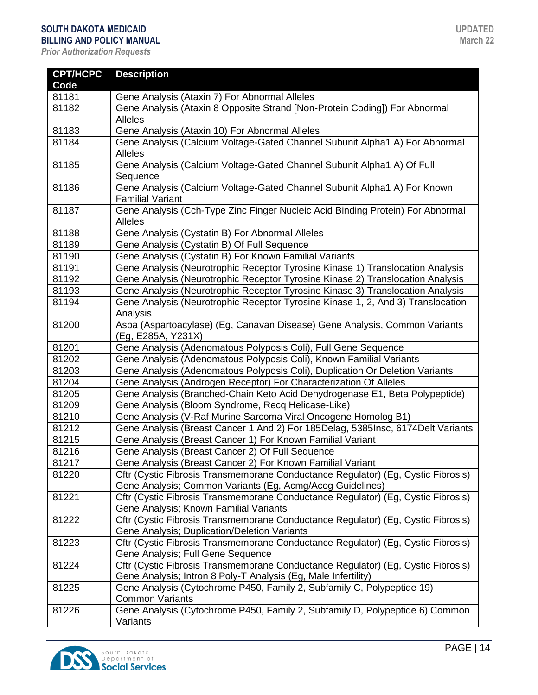### **SOUTH DAKOTA MEDICAID**

**BILLING AND POLICY MANUAL** *Prior Authorization Requests*

| <b>CPT/HCPC</b> | <b>Description</b>                                                                                                                                 |
|-----------------|----------------------------------------------------------------------------------------------------------------------------------------------------|
| Code            |                                                                                                                                                    |
| 81181           | Gene Analysis (Ataxin 7) For Abnormal Alleles                                                                                                      |
| 81182           | Gene Analysis (Ataxin 8 Opposite Strand [Non-Protein Coding]) For Abnormal                                                                         |
|                 | Alleles                                                                                                                                            |
| 81183           | Gene Analysis (Ataxin 10) For Abnormal Alleles                                                                                                     |
| 81184           | Gene Analysis (Calcium Voltage-Gated Channel Subunit Alpha1 A) For Abnormal                                                                        |
|                 | Alleles                                                                                                                                            |
| 81185           | Gene Analysis (Calcium Voltage-Gated Channel Subunit Alpha1 A) Of Full<br>Sequence                                                                 |
| 81186           | Gene Analysis (Calcium Voltage-Gated Channel Subunit Alpha1 A) For Known<br><b>Familial Variant</b>                                                |
| 81187           | Gene Analysis (Cch-Type Zinc Finger Nucleic Acid Binding Protein) For Abnormal<br><b>Alleles</b>                                                   |
| 81188           | Gene Analysis (Cystatin B) For Abnormal Alleles                                                                                                    |
| 81189           | Gene Analysis (Cystatin B) Of Full Sequence                                                                                                        |
| 81190           | Gene Analysis (Cystatin B) For Known Familial Variants                                                                                             |
| 81191           | Gene Analysis (Neurotrophic Receptor Tyrosine Kinase 1) Translocation Analysis                                                                     |
| 81192           | Gene Analysis (Neurotrophic Receptor Tyrosine Kinase 2) Translocation Analysis                                                                     |
| 81193           | Gene Analysis (Neurotrophic Receptor Tyrosine Kinase 3) Translocation Analysis                                                                     |
| 81194           | Gene Analysis (Neurotrophic Receptor Tyrosine Kinase 1, 2, And 3) Translocation<br>Analysis                                                        |
| 81200           | Aspa (Aspartoacylase) (Eg, Canavan Disease) Gene Analysis, Common Variants<br>(Eg, E285A, Y231X)                                                   |
| 81201           | Gene Analysis (Adenomatous Polyposis Coli), Full Gene Sequence                                                                                     |
| 81202           | Gene Analysis (Adenomatous Polyposis Coli), Known Familial Variants                                                                                |
| 81203           | Gene Analysis (Adenomatous Polyposis Coli), Duplication Or Deletion Variants                                                                       |
| 81204           | Gene Analysis (Androgen Receptor) For Characterization Of Alleles                                                                                  |
| 81205           | Gene Analysis (Branched-Chain Keto Acid Dehydrogenase E1, Beta Polypeptide)                                                                        |
| 81209           | Gene Analysis (Bloom Syndrome, Recq Helicase-Like)                                                                                                 |
| 81210           | Gene Analysis (V-Raf Murine Sarcoma Viral Oncogene Homolog B1)                                                                                     |
| 81212           | Gene Analysis (Breast Cancer 1 And 2) For 185Delag, 5385Insc, 6174Delt Variants                                                                    |
| 81215           | Gene Analysis (Breast Cancer 1) For Known Familial Variant                                                                                         |
| 81216           | Gene Analysis (Breast Cancer 2) Of Full Sequence                                                                                                   |
| 81217           | Gene Analysis (Breast Cancer 2) For Known Familial Variant                                                                                         |
| 81220           | Cftr (Cystic Fibrosis Transmembrane Conductance Regulator) (Eg, Cystic Fibrosis)                                                                   |
|                 | Gene Analysis; Common Variants (Eg, Acmg/Acog Guidelines)                                                                                          |
| 81221           | Cftr (Cystic Fibrosis Transmembrane Conductance Regulator) (Eg, Cystic Fibrosis)<br>Gene Analysis; Known Familial Variants                         |
| 81222           | Cftr (Cystic Fibrosis Transmembrane Conductance Regulator) (Eg, Cystic Fibrosis)                                                                   |
|                 | Gene Analysis; Duplication/Deletion Variants                                                                                                       |
| 81223           | Cftr (Cystic Fibrosis Transmembrane Conductance Regulator) (Eg, Cystic Fibrosis)<br>Gene Analysis; Full Gene Sequence                              |
| 81224           | Cftr (Cystic Fibrosis Transmembrane Conductance Regulator) (Eg, Cystic Fibrosis)<br>Gene Analysis; Intron 8 Poly-T Analysis (Eg, Male Infertility) |
| 81225           | Gene Analysis (Cytochrome P450, Family 2, Subfamily C, Polypeptide 19)                                                                             |
|                 | <b>Common Variants</b>                                                                                                                             |
| 81226           | Gene Analysis (Cytochrome P450, Family 2, Subfamily D, Polypeptide 6) Common<br>Variants                                                           |

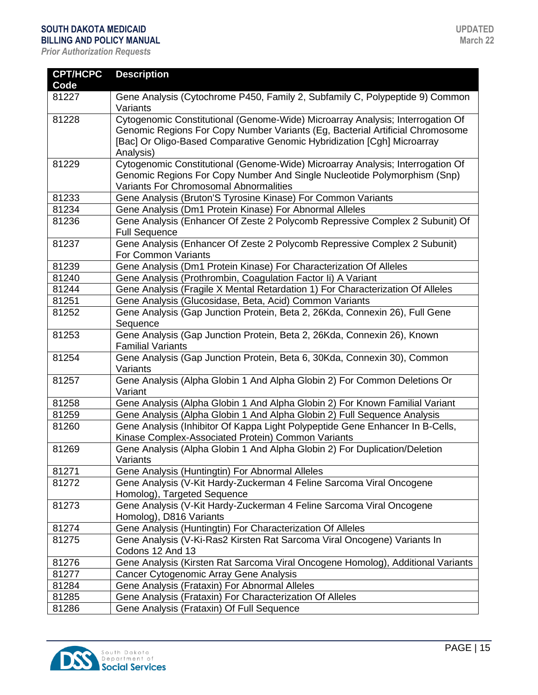| <b>CPT/HCPC</b><br>Code | <b>Description</b>                                                                                                                                                                                                                                      |
|-------------------------|---------------------------------------------------------------------------------------------------------------------------------------------------------------------------------------------------------------------------------------------------------|
| 81227                   | Gene Analysis (Cytochrome P450, Family 2, Subfamily C, Polypeptide 9) Common<br>Variants                                                                                                                                                                |
| 81228                   | Cytogenomic Constitutional (Genome-Wide) Microarray Analysis; Interrogation Of<br>Genomic Regions For Copy Number Variants (Eg, Bacterial Artificial Chromosome<br>[Bac] Or Oligo-Based Comparative Genomic Hybridization [Cgh] Microarray<br>Analysis) |
| 81229                   | Cytogenomic Constitutional (Genome-Wide) Microarray Analysis; Interrogation Of<br>Genomic Regions For Copy Number And Single Nucleotide Polymorphism (Snp)<br>Variants For Chromosomal Abnormalities                                                    |
| 81233                   | Gene Analysis (Bruton'S Tyrosine Kinase) For Common Variants                                                                                                                                                                                            |
| 81234                   | Gene Analysis (Dm1 Protein Kinase) For Abnormal Alleles                                                                                                                                                                                                 |
| 81236                   | Gene Analysis (Enhancer Of Zeste 2 Polycomb Repressive Complex 2 Subunit) Of<br><b>Full Sequence</b>                                                                                                                                                    |
| 81237                   | Gene Analysis (Enhancer Of Zeste 2 Polycomb Repressive Complex 2 Subunit)<br><b>For Common Variants</b>                                                                                                                                                 |
| 81239                   | Gene Analysis (Dm1 Protein Kinase) For Characterization Of Alleles                                                                                                                                                                                      |
| 81240                   | Gene Analysis (Prothrombin, Coagulation Factor Ii) A Variant                                                                                                                                                                                            |
| 81244                   | Gene Analysis (Fragile X Mental Retardation 1) For Characterization Of Alleles                                                                                                                                                                          |
| 81251                   | Gene Analysis (Glucosidase, Beta, Acid) Common Variants                                                                                                                                                                                                 |
| 81252                   | Gene Analysis (Gap Junction Protein, Beta 2, 26Kda, Connexin 26), Full Gene<br>Sequence                                                                                                                                                                 |
| 81253                   | Gene Analysis (Gap Junction Protein, Beta 2, 26Kda, Connexin 26), Known<br><b>Familial Variants</b>                                                                                                                                                     |
| 81254                   | Gene Analysis (Gap Junction Protein, Beta 6, 30Kda, Connexin 30), Common<br>Variants                                                                                                                                                                    |
| 81257                   | Gene Analysis (Alpha Globin 1 And Alpha Globin 2) For Common Deletions Or<br>Variant                                                                                                                                                                    |
| 81258                   | Gene Analysis (Alpha Globin 1 And Alpha Globin 2) For Known Familial Variant                                                                                                                                                                            |
| 81259                   | Gene Analysis (Alpha Globin 1 And Alpha Globin 2) Full Sequence Analysis                                                                                                                                                                                |
| 81260                   | Gene Analysis (Inhibitor Of Kappa Light Polypeptide Gene Enhancer In B-Cells,                                                                                                                                                                           |
|                         | Kinase Complex-Associated Protein) Common Variants                                                                                                                                                                                                      |
| 81269                   | Gene Analysis (Alpha Globin 1 And Alpha Globin 2) For Duplication/Deletion<br>Variants                                                                                                                                                                  |
| 81271                   | Gene Analysis (Huntingtin) For Abnormal Alleles                                                                                                                                                                                                         |
| 81272                   | Gene Analysis (V-Kit Hardy-Zuckerman 4 Feline Sarcoma Viral Oncogene<br>Homolog), Targeted Sequence                                                                                                                                                     |
| 81273                   | Gene Analysis (V-Kit Hardy-Zuckerman 4 Feline Sarcoma Viral Oncogene<br>Homolog), D816 Variants                                                                                                                                                         |
| 81274                   | Gene Analysis (Huntingtin) For Characterization Of Alleles                                                                                                                                                                                              |
| 81275                   | Gene Analysis (V-Ki-Ras2 Kirsten Rat Sarcoma Viral Oncogene) Variants In<br>Codons 12 And 13                                                                                                                                                            |
| 81276                   | Gene Analysis (Kirsten Rat Sarcoma Viral Oncogene Homolog), Additional Variants                                                                                                                                                                         |
| 81277                   | Cancer Cytogenomic Array Gene Analysis                                                                                                                                                                                                                  |
| 81284                   | Gene Analysis (Frataxin) For Abnormal Alleles                                                                                                                                                                                                           |
| 81285                   | Gene Analysis (Frataxin) For Characterization Of Alleles                                                                                                                                                                                                |
| 81286                   | Gene Analysis (Frataxin) Of Full Sequence                                                                                                                                                                                                               |

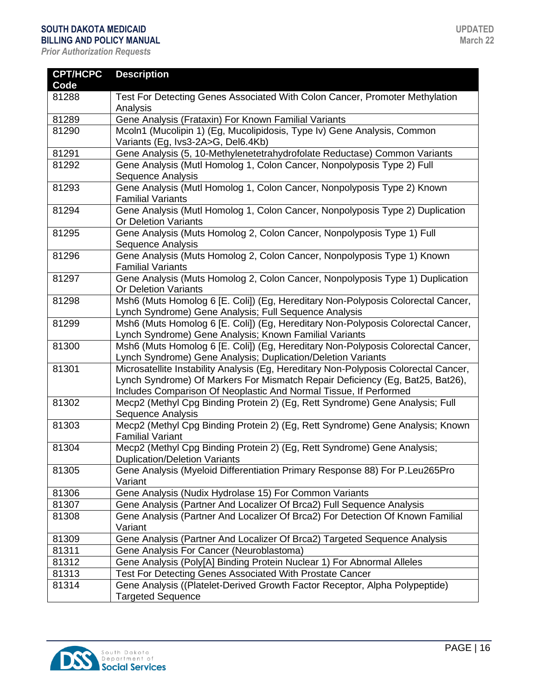| <b>CPT/HCPC</b> | <b>Description</b>                                                                                                                                                                                                                         |
|-----------------|--------------------------------------------------------------------------------------------------------------------------------------------------------------------------------------------------------------------------------------------|
| Code            |                                                                                                                                                                                                                                            |
| 81288           | Test For Detecting Genes Associated With Colon Cancer, Promoter Methylation                                                                                                                                                                |
|                 | Analysis                                                                                                                                                                                                                                   |
| 81289           | Gene Analysis (Frataxin) For Known Familial Variants                                                                                                                                                                                       |
| 81290           | Mcoln1 (Mucolipin 1) (Eg, Mucolipidosis, Type Iv) Gene Analysis, Common                                                                                                                                                                    |
|                 | Variants (Eg, Ivs3-2A>G, Del6.4Kb)                                                                                                                                                                                                         |
| 81291           | Gene Analysis (5, 10-Methylenetetrahydrofolate Reductase) Common Variants                                                                                                                                                                  |
| 81292           | Gene Analysis (Mutl Homolog 1, Colon Cancer, Nonpolyposis Type 2) Full<br>Sequence Analysis                                                                                                                                                |
| 81293           | Gene Analysis (Mutl Homolog 1, Colon Cancer, Nonpolyposis Type 2) Known<br><b>Familial Variants</b>                                                                                                                                        |
| 81294           | Gene Analysis (Mutl Homolog 1, Colon Cancer, Nonpolyposis Type 2) Duplication<br><b>Or Deletion Variants</b>                                                                                                                               |
| 81295           | Gene Analysis (Muts Homolog 2, Colon Cancer, Nonpolyposis Type 1) Full<br>Sequence Analysis                                                                                                                                                |
| 81296           | Gene Analysis (Muts Homolog 2, Colon Cancer, Nonpolyposis Type 1) Known<br><b>Familial Variants</b>                                                                                                                                        |
| 81297           | Gene Analysis (Muts Homolog 2, Colon Cancer, Nonpolyposis Type 1) Duplication<br><b>Or Deletion Variants</b>                                                                                                                               |
| 81298           | Msh6 (Muts Homolog 6 [E. Coli]) (Eg, Hereditary Non-Polyposis Colorectal Cancer,<br>Lynch Syndrome) Gene Analysis; Full Sequence Analysis                                                                                                  |
| 81299           | Msh6 (Muts Homolog 6 [E. Coli]) (Eg, Hereditary Non-Polyposis Colorectal Cancer,<br>Lynch Syndrome) Gene Analysis; Known Familial Variants                                                                                                 |
| 81300           | Msh6 (Muts Homolog 6 [E. Coli]) (Eg, Hereditary Non-Polyposis Colorectal Cancer,<br>Lynch Syndrome) Gene Analysis; Duplication/Deletion Variants                                                                                           |
| 81301           | Microsatellite Instability Analysis (Eg, Hereditary Non-Polyposis Colorectal Cancer,<br>Lynch Syndrome) Of Markers For Mismatch Repair Deficiency (Eg, Bat25, Bat26),<br>Includes Comparison Of Neoplastic And Normal Tissue, If Performed |
| 81302           | Mecp2 (Methyl Cpg Binding Protein 2) (Eg, Rett Syndrome) Gene Analysis; Full<br>Sequence Analysis                                                                                                                                          |
| 81303           | Mecp2 (Methyl Cpg Binding Protein 2) (Eg, Rett Syndrome) Gene Analysis; Known<br><b>Familial Variant</b>                                                                                                                                   |
| 81304           | Mecp2 (Methyl Cpg Binding Protein 2) (Eg, Rett Syndrome) Gene Analysis;<br><b>Duplication/Deletion Variants</b>                                                                                                                            |
| 81305           | Gene Analysis (Myeloid Differentiation Primary Response 88) For P.Leu265Pro<br>Variant                                                                                                                                                     |
| 81306           | Gene Analysis (Nudix Hydrolase 15) For Common Variants                                                                                                                                                                                     |
| 81307           | Gene Analysis (Partner And Localizer Of Brca2) Full Sequence Analysis                                                                                                                                                                      |
| 81308           | Gene Analysis (Partner And Localizer Of Brca2) For Detection Of Known Familial<br>Variant                                                                                                                                                  |
| 81309           | Gene Analysis (Partner And Localizer Of Brca2) Targeted Sequence Analysis                                                                                                                                                                  |
| 81311           | Gene Analysis For Cancer (Neuroblastoma)                                                                                                                                                                                                   |
| 81312           | Gene Analysis (Poly[A] Binding Protein Nuclear 1) For Abnormal Alleles                                                                                                                                                                     |
| 81313           | Test For Detecting Genes Associated With Prostate Cancer                                                                                                                                                                                   |
| 81314           | Gene Analysis ((Platelet-Derived Growth Factor Receptor, Alpha Polypeptide)                                                                                                                                                                |
|                 | <b>Targeted Sequence</b>                                                                                                                                                                                                                   |

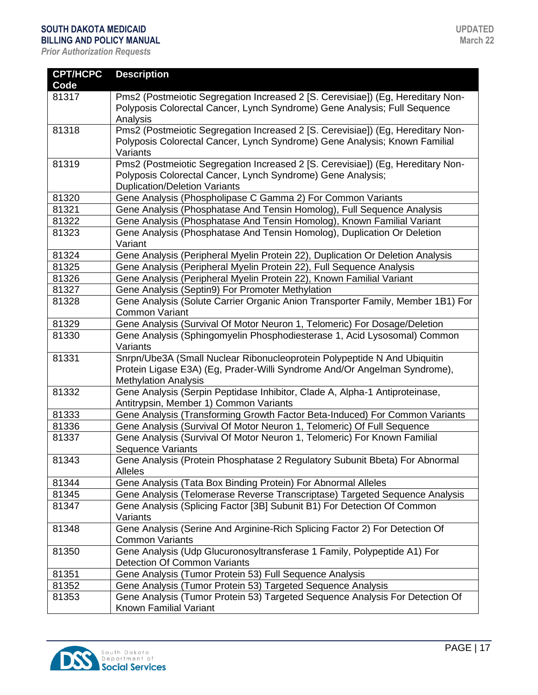| <b>CPT/HCPC</b> | <b>Description</b>                                                                            |
|-----------------|-----------------------------------------------------------------------------------------------|
| Code            |                                                                                               |
| 81317           | Pms2 (Postmeiotic Segregation Increased 2 [S. Cerevisiae]) (Eg, Hereditary Non-               |
|                 | Polyposis Colorectal Cancer, Lynch Syndrome) Gene Analysis; Full Sequence                     |
|                 | Analysis                                                                                      |
| 81318           | Pms2 (Postmeiotic Segregation Increased 2 [S. Cerevisiae]) (Eg, Hereditary Non-               |
|                 | Polyposis Colorectal Cancer, Lynch Syndrome) Gene Analysis; Known Familial                    |
|                 | Variants                                                                                      |
| 81319           | Pms2 (Postmeiotic Segregation Increased 2 [S. Cerevisiae]) (Eg, Hereditary Non-               |
|                 | Polyposis Colorectal Cancer, Lynch Syndrome) Gene Analysis;                                   |
|                 | <b>Duplication/Deletion Variants</b>                                                          |
| 81320           | Gene Analysis (Phospholipase C Gamma 2) For Common Variants                                   |
| 81321           | Gene Analysis (Phosphatase And Tensin Homolog), Full Sequence Analysis                        |
| 81322           | Gene Analysis (Phosphatase And Tensin Homolog), Known Familial Variant                        |
| 81323           | Gene Analysis (Phosphatase And Tensin Homolog), Duplication Or Deletion                       |
|                 | Variant                                                                                       |
| 81324           | Gene Analysis (Peripheral Myelin Protein 22), Duplication Or Deletion Analysis                |
| 81325           | Gene Analysis (Peripheral Myelin Protein 22), Full Sequence Analysis                          |
| 81326           | Gene Analysis (Peripheral Myelin Protein 22), Known Familial Variant                          |
| 81327           | Gene Analysis (Septin9) For Promoter Methylation                                              |
| 81328           | Gene Analysis (Solute Carrier Organic Anion Transporter Family, Member 1B1) For               |
|                 | <b>Common Variant</b>                                                                         |
| 81329           | Gene Analysis (Survival Of Motor Neuron 1, Telomeric) For Dosage/Deletion                     |
| 81330           | Gene Analysis (Sphingomyelin Phosphodiesterase 1, Acid Lysosomal) Common                      |
|                 | Variants                                                                                      |
| 81331           | Snrpn/Ube3A (Small Nuclear Ribonucleoprotein Polypeptide N And Ubiquitin                      |
|                 | Protein Ligase E3A) (Eg, Prader-Willi Syndrome And/Or Angelman Syndrome),                     |
|                 | <b>Methylation Analysis</b>                                                                   |
| 81332           | Gene Analysis (Serpin Peptidase Inhibitor, Clade A, Alpha-1 Antiproteinase,                   |
| 81333           | Antitrypsin, Member 1) Common Variants                                                        |
|                 | Gene Analysis (Transforming Growth Factor Beta-Induced) For Common Variants                   |
| 81336<br>81337  | Gene Analysis (Survival Of Motor Neuron 1, Telomeric) Of Full Sequence                        |
|                 | Gene Analysis (Survival Of Motor Neuron 1, Telomeric) For Known Familial<br>Sequence Variants |
| 81343           | Gene Analysis (Protein Phosphatase 2 Regulatory Subunit Bbeta) For Abnormal                   |
|                 | Alleles                                                                                       |
| 81344           | Gene Analysis (Tata Box Binding Protein) For Abnormal Alleles                                 |
| 81345           | Gene Analysis (Telomerase Reverse Transcriptase) Targeted Sequence Analysis                   |
| 81347           | Gene Analysis (Splicing Factor [3B] Subunit B1) For Detection Of Common                       |
|                 | Variants                                                                                      |
| 81348           | Gene Analysis (Serine And Arginine-Rich Splicing Factor 2) For Detection Of                   |
|                 | <b>Common Variants</b>                                                                        |
| 81350           | Gene Analysis (Udp Glucuronosyltransferase 1 Family, Polypeptide A1) For                      |
|                 | Detection Of Common Variants                                                                  |
| 81351           | Gene Analysis (Tumor Protein 53) Full Sequence Analysis                                       |
| 81352           | Gene Analysis (Tumor Protein 53) Targeted Sequence Analysis                                   |
| 81353           | Gene Analysis (Tumor Protein 53) Targeted Sequence Analysis For Detection Of                  |
|                 | Known Familial Variant                                                                        |

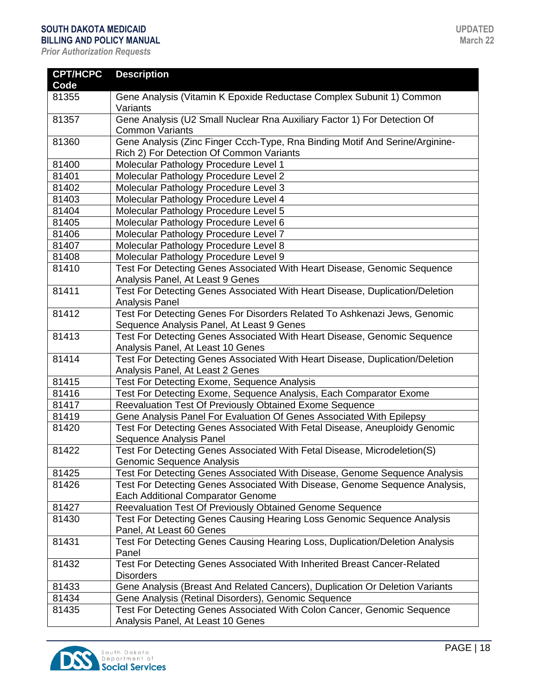| <b>CPT/HCPC</b><br>Code | <b>Description</b>                                                                                                       |
|-------------------------|--------------------------------------------------------------------------------------------------------------------------|
| 81355                   | Gene Analysis (Vitamin K Epoxide Reductase Complex Subunit 1) Common<br>Variants                                         |
| 81357                   | Gene Analysis (U2 Small Nuclear Rna Auxiliary Factor 1) For Detection Of<br><b>Common Variants</b>                       |
| 81360                   | Gene Analysis (Zinc Finger Ccch-Type, Rna Binding Motif And Serine/Arginine-<br>Rich 2) For Detection Of Common Variants |
| 81400                   | Molecular Pathology Procedure Level 1                                                                                    |
| 81401                   | Molecular Pathology Procedure Level 2                                                                                    |
| 81402                   | Molecular Pathology Procedure Level 3                                                                                    |
| 81403                   | Molecular Pathology Procedure Level 4                                                                                    |
| 81404                   | Molecular Pathology Procedure Level 5                                                                                    |
| 81405                   | Molecular Pathology Procedure Level 6                                                                                    |
| 81406                   | Molecular Pathology Procedure Level 7                                                                                    |
| 81407                   | Molecular Pathology Procedure Level 8                                                                                    |
| 81408                   | Molecular Pathology Procedure Level 9                                                                                    |
| 81410                   | Test For Detecting Genes Associated With Heart Disease, Genomic Sequence<br>Analysis Panel, At Least 9 Genes             |
| 81411                   | Test For Detecting Genes Associated With Heart Disease, Duplication/Deletion<br>Analysis Panel                           |
| 81412                   | Test For Detecting Genes For Disorders Related To Ashkenazi Jews, Genomic<br>Sequence Analysis Panel, At Least 9 Genes   |
| 81413                   | Test For Detecting Genes Associated With Heart Disease, Genomic Sequence<br>Analysis Panel, At Least 10 Genes            |
| 81414                   | Test For Detecting Genes Associated With Heart Disease, Duplication/Deletion<br>Analysis Panel, At Least 2 Genes         |
| 81415                   | Test For Detecting Exome, Sequence Analysis                                                                              |
| 81416                   | Test For Detecting Exome, Sequence Analysis, Each Comparator Exome                                                       |
| 81417                   | Reevaluation Test Of Previously Obtained Exome Sequence                                                                  |
| 81419                   | Gene Analysis Panel For Evaluation Of Genes Associated With Epilepsy                                                     |
| 81420                   | Test For Detecting Genes Associated With Fetal Disease, Aneuploidy Genomic<br>Sequence Analysis Panel                    |
| 81422                   | Test For Detecting Genes Associated With Fetal Disease, Microdeletion(S)<br><b>Genomic Sequence Analysis</b>             |
| 81425                   | Test For Detecting Genes Associated With Disease, Genome Sequence Analysis                                               |
| 81426                   | Test For Detecting Genes Associated With Disease, Genome Sequence Analysis,<br><b>Each Additional Comparator Genome</b>  |
| 81427                   | Reevaluation Test Of Previously Obtained Genome Sequence                                                                 |
| 81430                   | Test For Detecting Genes Causing Hearing Loss Genomic Sequence Analysis                                                  |
|                         | Panel, At Least 60 Genes                                                                                                 |
| 81431                   | Test For Detecting Genes Causing Hearing Loss, Duplication/Deletion Analysis<br>Panel                                    |
| 81432                   | Test For Detecting Genes Associated With Inherited Breast Cancer-Related<br><b>Disorders</b>                             |
| 81433                   | Gene Analysis (Breast And Related Cancers), Duplication Or Deletion Variants                                             |
| 81434                   | Gene Analysis (Retinal Disorders), Genomic Sequence                                                                      |
| 81435                   | Test For Detecting Genes Associated With Colon Cancer, Genomic Sequence<br>Analysis Panel, At Least 10 Genes             |

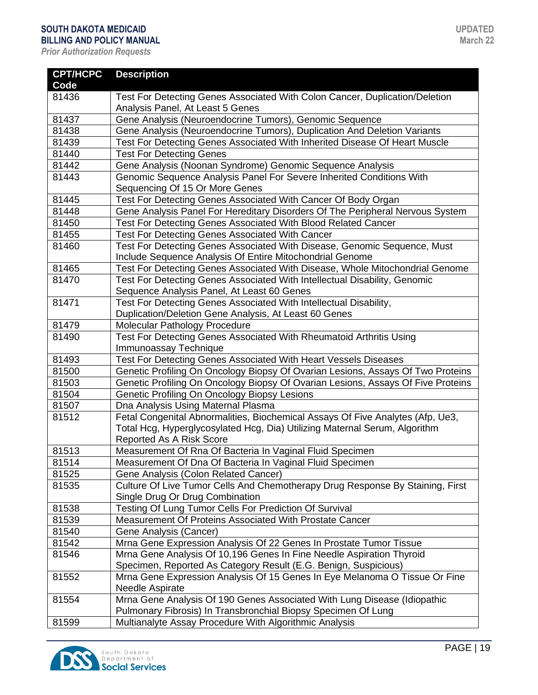| <b>CPT/HCPC</b><br>Code | <b>Description</b>                                                               |
|-------------------------|----------------------------------------------------------------------------------|
| 81436                   | Test For Detecting Genes Associated With Colon Cancer, Duplication/Deletion      |
|                         | Analysis Panel, At Least 5 Genes                                                 |
| 81437                   | Gene Analysis (Neuroendocrine Tumors), Genomic Sequence                          |
| 81438                   | Gene Analysis (Neuroendocrine Tumors), Duplication And Deletion Variants         |
| 81439                   | Test For Detecting Genes Associated With Inherited Disease Of Heart Muscle       |
| 81440                   | <b>Test For Detecting Genes</b>                                                  |
| 81442                   | Gene Analysis (Noonan Syndrome) Genomic Sequence Analysis                        |
| 81443                   | Genomic Sequence Analysis Panel For Severe Inherited Conditions With             |
|                         | Sequencing Of 15 Or More Genes                                                   |
| 81445                   | Test For Detecting Genes Associated With Cancer Of Body Organ                    |
| 81448                   | Gene Analysis Panel For Hereditary Disorders Of The Peripheral Nervous System    |
| 81450                   | Test For Detecting Genes Associated With Blood Related Cancer                    |
| 81455                   | <b>Test For Detecting Genes Associated With Cancer</b>                           |
| 81460                   | Test For Detecting Genes Associated With Disease, Genomic Sequence, Must         |
|                         | Include Sequence Analysis Of Entire Mitochondrial Genome                         |
| 81465                   | Test For Detecting Genes Associated With Disease, Whole Mitochondrial Genome     |
| 81470                   | Test For Detecting Genes Associated With Intellectual Disability, Genomic        |
|                         | Sequence Analysis Panel, At Least 60 Genes                                       |
| 81471                   | Test For Detecting Genes Associated With Intellectual Disability,                |
|                         | Duplication/Deletion Gene Analysis, At Least 60 Genes                            |
| 81479                   | Molecular Pathology Procedure                                                    |
| 81490                   | Test For Detecting Genes Associated With Rheumatoid Arthritis Using              |
|                         | Immunoassay Technique                                                            |
| 81493                   | Test For Detecting Genes Associated With Heart Vessels Diseases                  |
| 81500                   | Genetic Profiling On Oncology Biopsy Of Ovarian Lesions, Assays Of Two Proteins  |
| 81503                   | Genetic Profiling On Oncology Biopsy Of Ovarian Lesions, Assays Of Five Proteins |
| 81504                   | Genetic Profiling On Oncology Biopsy Lesions                                     |
| 81507                   | Dna Analysis Using Maternal Plasma                                               |
| 81512                   | Fetal Congenital Abnormalities, Biochemical Assays Of Five Analytes (Afp, Ue3,   |
|                         | Total Hcg, Hyperglycosylated Hcg, Dia) Utilizing Maternal Serum, Algorithm       |
|                         | <b>Reported As A Risk Score</b>                                                  |
| 81513                   | Measurement Of Rna Of Bacteria In Vaginal Fluid Specimen                         |
| 81514                   | Measurement Of Dna Of Bacteria In Vaginal Fluid Specimen                         |
| 81525                   | Gene Analysis (Colon Related Cancer)                                             |
| 81535                   | Culture Of Live Tumor Cells And Chemotherapy Drug Response By Staining, First    |
|                         | Single Drug Or Drug Combination                                                  |
| 81538                   | Testing Of Lung Tumor Cells For Prediction Of Survival                           |
| 81539                   | Measurement Of Proteins Associated With Prostate Cancer                          |
| 81540                   | Gene Analysis (Cancer)                                                           |
| 81542                   | Mrna Gene Expression Analysis Of 22 Genes In Prostate Tumor Tissue               |
| 81546                   | Mrna Gene Analysis Of 10,196 Genes In Fine Needle Aspiration Thyroid             |
|                         | Specimen, Reported As Category Result (E.G. Benign, Suspicious)                  |
| 81552                   | Mrna Gene Expression Analysis Of 15 Genes In Eye Melanoma O Tissue Or Fine       |
|                         | Needle Aspirate                                                                  |
| 81554                   | Mrna Gene Analysis Of 190 Genes Associated With Lung Disease (Idiopathic         |
|                         | Pulmonary Fibrosis) In Transbronchial Biopsy Specimen Of Lung                    |
| 81599                   | Multianalyte Assay Procedure With Algorithmic Analysis                           |

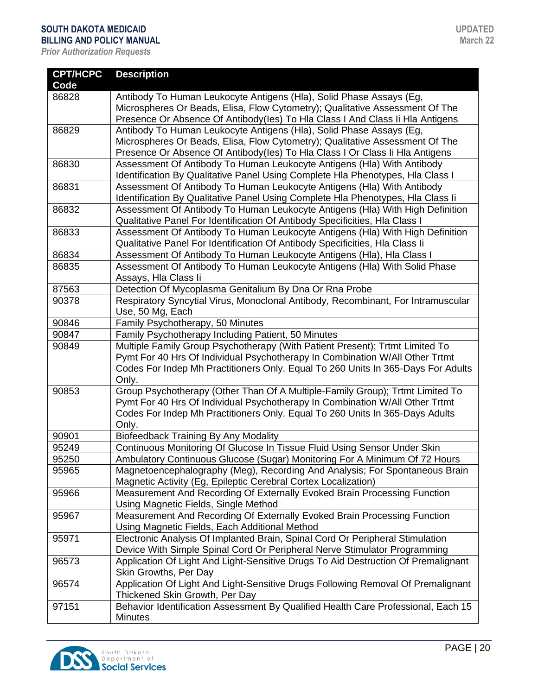| <b>CPT/HCPC</b> | <b>Description</b>                                                                |
|-----------------|-----------------------------------------------------------------------------------|
| Code            |                                                                                   |
| 86828           | Antibody To Human Leukocyte Antigens (Hla), Solid Phase Assays (Eg,               |
|                 | Microspheres Or Beads, Elisa, Flow Cytometry); Qualitative Assessment Of The      |
|                 | Presence Or Absence Of Antibody(les) To HIa Class I And Class Ii HIa Antigens     |
| 86829           | Antibody To Human Leukocyte Antigens (Hla), Solid Phase Assays (Eg,               |
|                 | Microspheres Or Beads, Elisa, Flow Cytometry); Qualitative Assessment Of The      |
|                 | Presence Or Absence Of Antibody(les) To Hla Class I Or Class Ii Hla Antigens      |
| 86830           | Assessment Of Antibody To Human Leukocyte Antigens (Hla) With Antibody            |
|                 | Identification By Qualitative Panel Using Complete HIa Phenotypes, HIa Class I    |
| 86831           | Assessment Of Antibody To Human Leukocyte Antigens (Hla) With Antibody            |
|                 | Identification By Qualitative Panel Using Complete Hla Phenotypes, Hla Class Ii   |
| 86832           | Assessment Of Antibody To Human Leukocyte Antigens (Hla) With High Definition     |
|                 | Qualitative Panel For Identification Of Antibody Specificities, HIa Class I       |
| 86833           | Assessment Of Antibody To Human Leukocyte Antigens (Hla) With High Definition     |
|                 | Qualitative Panel For Identification Of Antibody Specificities, Hla Class Ii      |
| 86834           | Assessment Of Antibody To Human Leukocyte Antigens (Hla), Hla Class I             |
| 86835           | Assessment Of Antibody To Human Leukocyte Antigens (Hla) With Solid Phase         |
|                 | Assays, Hla Class li                                                              |
| 87563           | Detection Of Mycoplasma Genitalium By Dna Or Rna Probe                            |
| 90378           | Respiratory Syncytial Virus, Monoclonal Antibody, Recombinant, For Intramuscular  |
|                 | Use, 50 Mg, Each                                                                  |
| 90846           | Family Psychotherapy, 50 Minutes                                                  |
| 90847           | Family Psychotherapy Including Patient, 50 Minutes                                |
| 90849           | Multiple Family Group Psychotherapy (With Patient Present); Trtmt Limited To      |
|                 | Pymt For 40 Hrs Of Individual Psychotherapy In Combination W/All Other Trtmt      |
|                 | Codes For Indep Mh Practitioners Only. Equal To 260 Units In 365-Days For Adults  |
|                 | Only.                                                                             |
| 90853           | Group Psychotherapy (Other Than Of A Multiple-Family Group); Trtmt Limited To     |
|                 | Pymt For 40 Hrs Of Individual Psychotherapy In Combination W/All Other Trtmt      |
|                 | Codes For Indep Mh Practitioners Only. Equal To 260 Units In 365-Days Adults      |
|                 | Only.                                                                             |
| 90901           | <b>Biofeedback Training By Any Modality</b>                                       |
| 95249           | Continuous Monitoring Of Glucose In Tissue Fluid Using Sensor Under Skin          |
| 95250           | Ambulatory Continuous Glucose (Sugar) Monitoring For A Minimum Of 72 Hours        |
| 95965           | Magnetoencephalography (Meg), Recording And Analysis; For Spontaneous Brain       |
|                 | Magnetic Activity (Eg, Epileptic Cerebral Cortex Localization)                    |
| 95966           | Measurement And Recording Of Externally Evoked Brain Processing Function          |
|                 | Using Magnetic Fields, Single Method                                              |
| 95967           | Measurement And Recording Of Externally Evoked Brain Processing Function          |
|                 | Using Magnetic Fields, Each Additional Method                                     |
| 95971           | Electronic Analysis Of Implanted Brain, Spinal Cord Or Peripheral Stimulation     |
|                 | Device With Simple Spinal Cord Or Peripheral Nerve Stimulator Programming         |
| 96573           | Application Of Light And Light-Sensitive Drugs To Aid Destruction Of Premalignant |
|                 | Skin Growths, Per Day                                                             |
| 96574           | Application Of Light And Light-Sensitive Drugs Following Removal Of Premalignant  |
|                 | Thickened Skin Growth, Per Day                                                    |
| 97151           | Behavior Identification Assessment By Qualified Health Care Professional, Each 15 |
|                 | <b>Minutes</b>                                                                    |

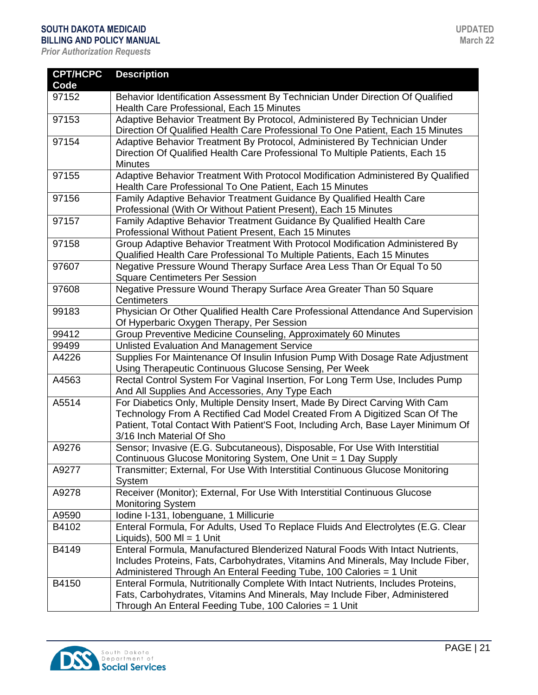| <b>CPT/HCPC</b> | <b>Description</b>                                                                |
|-----------------|-----------------------------------------------------------------------------------|
| Code            |                                                                                   |
| 97152           | Behavior Identification Assessment By Technician Under Direction Of Qualified     |
|                 | Health Care Professional, Each 15 Minutes                                         |
| 97153           | Adaptive Behavior Treatment By Protocol, Administered By Technician Under         |
|                 | Direction Of Qualified Health Care Professional To One Patient, Each 15 Minutes   |
| 97154           | Adaptive Behavior Treatment By Protocol, Administered By Technician Under         |
|                 | Direction Of Qualified Health Care Professional To Multiple Patients, Each 15     |
|                 | <b>Minutes</b>                                                                    |
| 97155           | Adaptive Behavior Treatment With Protocol Modification Administered By Qualified  |
|                 | Health Care Professional To One Patient, Each 15 Minutes                          |
| 97156           | Family Adaptive Behavior Treatment Guidance By Qualified Health Care              |
|                 | Professional (With Or Without Patient Present), Each 15 Minutes                   |
| 97157           | Family Adaptive Behavior Treatment Guidance By Qualified Health Care              |
|                 | Professional Without Patient Present, Each 15 Minutes                             |
| 97158           | Group Adaptive Behavior Treatment With Protocol Modification Administered By      |
|                 | Qualified Health Care Professional To Multiple Patients, Each 15 Minutes          |
| 97607           | Negative Pressure Wound Therapy Surface Area Less Than Or Equal To 50             |
|                 | <b>Square Centimeters Per Session</b>                                             |
| 97608           | Negative Pressure Wound Therapy Surface Area Greater Than 50 Square               |
|                 | Centimeters                                                                       |
| 99183           | Physician Or Other Qualified Health Care Professional Attendance And Supervision  |
|                 | Of Hyperbaric Oxygen Therapy, Per Session                                         |
| 99412           | Group Preventive Medicine Counseling, Approximately 60 Minutes                    |
| 99499           | Unlisted Evaluation And Management Service                                        |
| A4226           | Supplies For Maintenance Of Insulin Infusion Pump With Dosage Rate Adjustment     |
|                 | Using Therapeutic Continuous Glucose Sensing, Per Week                            |
| A4563           | Rectal Control System For Vaginal Insertion, For Long Term Use, Includes Pump     |
|                 | And All Supplies And Accessories, Any Type Each                                   |
| A5514           | For Diabetics Only, Multiple Density Insert, Made By Direct Carving With Cam      |
|                 | Technology From A Rectified Cad Model Created From A Digitized Scan Of The        |
|                 | Patient, Total Contact With Patient'S Foot, Including Arch, Base Layer Minimum Of |
|                 | 3/16 Inch Material Of Sho                                                         |
| A9276           | Sensor; Invasive (E.G. Subcutaneous), Disposable, For Use With Interstitial       |
|                 | Continuous Glucose Monitoring System, One Unit = 1 Day Supply                     |
| A9277           | Transmitter; External, For Use With Interstitial Continuous Glucose Monitoring    |
|                 | System                                                                            |
| A9278           | Receiver (Monitor); External, For Use With Interstitial Continuous Glucose        |
|                 | <b>Monitoring System</b>                                                          |
| A9590           | Iodine I-131, Iobenguane, 1 Millicurie                                            |
| B4102           | Enteral Formula, For Adults, Used To Replace Fluids And Electrolytes (E.G. Clear  |
|                 | Liquids), 500 MI = 1 Unit                                                         |
| B4149           | Enteral Formula, Manufactured Blenderized Natural Foods With Intact Nutrients,    |
|                 | Includes Proteins, Fats, Carbohydrates, Vitamins And Minerals, May Include Fiber, |
|                 | Administered Through An Enteral Feeding Tube, 100 Calories = 1 Unit               |
| B4150           | Enteral Formula, Nutritionally Complete With Intact Nutrients, Includes Proteins, |
|                 | Fats, Carbohydrates, Vitamins And Minerals, May Include Fiber, Administered       |
|                 | Through An Enteral Feeding Tube, 100 Calories = 1 Unit                            |

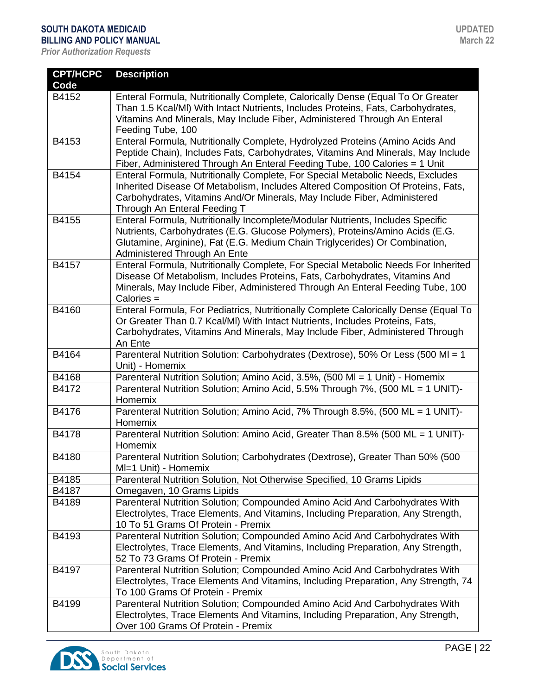| <b>CPT/HCPC</b> | <b>Description</b>                                                                                                                                                                                                                                                             |
|-----------------|--------------------------------------------------------------------------------------------------------------------------------------------------------------------------------------------------------------------------------------------------------------------------------|
| Code            |                                                                                                                                                                                                                                                                                |
| B4152           | Enteral Formula, Nutritionally Complete, Calorically Dense (Equal To Or Greater<br>Than 1.5 Kcal/MI) With Intact Nutrients, Includes Proteins, Fats, Carbohydrates,<br>Vitamins And Minerals, May Include Fiber, Administered Through An Enteral<br>Feeding Tube, 100          |
| B4153           | Enteral Formula, Nutritionally Complete, Hydrolyzed Proteins (Amino Acids And<br>Peptide Chain), Includes Fats, Carbohydrates, Vitamins And Minerals, May Include<br>Fiber, Administered Through An Enteral Feeding Tube, 100 Calories = 1 Unit                                |
| B4154           | Enteral Formula, Nutritionally Complete, For Special Metabolic Needs, Excludes<br>Inherited Disease Of Metabolism, Includes Altered Composition Of Proteins, Fats,<br>Carbohydrates, Vitamins And/Or Minerals, May Include Fiber, Administered<br>Through An Enteral Feeding T |
| B4155           | Enteral Formula, Nutritionally Incomplete/Modular Nutrients, Includes Specific<br>Nutrients, Carbohydrates (E.G. Glucose Polymers), Proteins/Amino Acids (E.G.<br>Glutamine, Arginine), Fat (E.G. Medium Chain Triglycerides) Or Combination,<br>Administered Through An Ente  |
| B4157           | Enteral Formula, Nutritionally Complete, For Special Metabolic Needs For Inherited<br>Disease Of Metabolism, Includes Proteins, Fats, Carbohydrates, Vitamins And<br>Minerals, May Include Fiber, Administered Through An Enteral Feeding Tube, 100<br>Calories =              |
| B4160           | Enteral Formula, For Pediatrics, Nutritionally Complete Calorically Dense (Equal To<br>Or Greater Than 0.7 Kcal/MI) With Intact Nutrients, Includes Proteins, Fats,<br>Carbohydrates, Vitamins And Minerals, May Include Fiber, Administered Through<br>An Ente                |
| B4164           | Parenteral Nutrition Solution: Carbohydrates (Dextrose), 50% Or Less (500 MI = 1<br>Unit) - Homemix                                                                                                                                                                            |
| B4168           | Parenteral Nutrition Solution; Amino Acid, 3.5%, (500 MI = 1 Unit) - Homemix                                                                                                                                                                                                   |
| B4172           | Parenteral Nutrition Solution; Amino Acid, 5.5% Through 7%, (500 ML = 1 UNIT)-<br>Homemix                                                                                                                                                                                      |
| B4176           | Parenteral Nutrition Solution; Amino Acid, 7% Through 8.5%, (500 ML = 1 UNIT)-<br>Homemix                                                                                                                                                                                      |
| B4178           | Parenteral Nutrition Solution: Amino Acid, Greater Than 8.5% (500 ML = 1 UNIT)-<br>Homemix                                                                                                                                                                                     |
| B4180           | Parenteral Nutrition Solution; Carbohydrates (Dextrose), Greater Than 50% (500<br>MI=1 Unit) - Homemix                                                                                                                                                                         |
| B4185           | Parenteral Nutrition Solution, Not Otherwise Specified, 10 Grams Lipids                                                                                                                                                                                                        |
| B4187           | Omegaven, 10 Grams Lipids                                                                                                                                                                                                                                                      |
| B4189           | Parenteral Nutrition Solution; Compounded Amino Acid And Carbohydrates With<br>Electrolytes, Trace Elements, And Vitamins, Including Preparation, Any Strength,<br>10 To 51 Grams Of Protein - Premix                                                                          |
| B4193           | Parenteral Nutrition Solution; Compounded Amino Acid And Carbohydrates With<br>Electrolytes, Trace Elements, And Vitamins, Including Preparation, Any Strength,<br>52 To 73 Grams Of Protein - Premix                                                                          |
| B4197           | Parenteral Nutrition Solution; Compounded Amino Acid And Carbohydrates With<br>Electrolytes, Trace Elements And Vitamins, Including Preparation, Any Strength, 74<br>To 100 Grams Of Protein - Premix                                                                          |
| B4199           | Parenteral Nutrition Solution; Compounded Amino Acid And Carbohydrates With<br>Electrolytes, Trace Elements And Vitamins, Including Preparation, Any Strength,<br>Over 100 Grams Of Protein - Premix                                                                           |

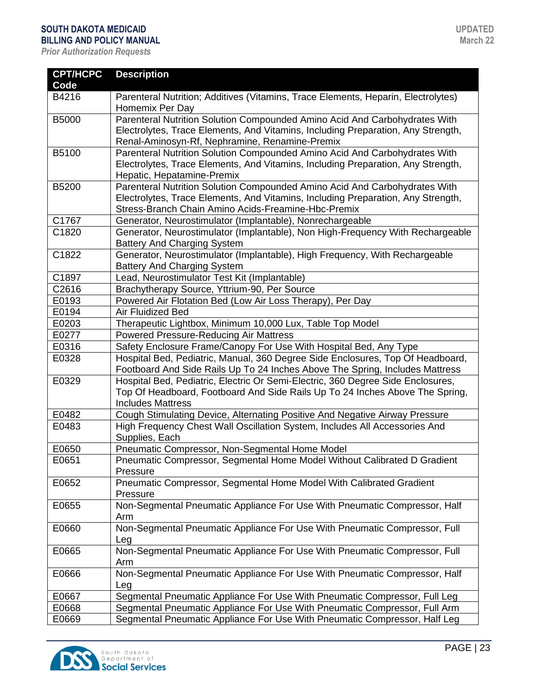| <b>CPT/HCPC</b> | <b>Description</b>                                                                                   |
|-----------------|------------------------------------------------------------------------------------------------------|
| Code            |                                                                                                      |
| B4216           | Parenteral Nutrition; Additives (Vitamins, Trace Elements, Heparin, Electrolytes)<br>Homemix Per Day |
| B5000           | Parenteral Nutrition Solution Compounded Amino Acid And Carbohydrates With                           |
|                 | Electrolytes, Trace Elements, And Vitamins, Including Preparation, Any Strength,                     |
|                 | Renal-Aminosyn-Rf, Nephramine, Renamine-Premix                                                       |
| B5100           | Parenteral Nutrition Solution Compounded Amino Acid And Carbohydrates With                           |
|                 | Electrolytes, Trace Elements, And Vitamins, Including Preparation, Any Strength,                     |
|                 | Hepatic, Hepatamine-Premix                                                                           |
| B5200           | Parenteral Nutrition Solution Compounded Amino Acid And Carbohydrates With                           |
|                 | Electrolytes, Trace Elements, And Vitamins, Including Preparation, Any Strength,                     |
|                 | Stress-Branch Chain Amino Acids-Freamine-Hbc-Premix                                                  |
| C1767           | Generator, Neurostimulator (Implantable), Nonrechargeable                                            |
| C1820           | Generator, Neurostimulator (Implantable), Non High-Frequency With Rechargeable                       |
|                 | <b>Battery And Charging System</b>                                                                   |
| C1822           | Generator, Neurostimulator (Implantable), High Frequency, With Rechargeable                          |
|                 | <b>Battery And Charging System</b>                                                                   |
| C1897           | Lead, Neurostimulator Test Kit (Implantable)                                                         |
| C2616           | Brachytherapy Source, Yttrium-90, Per Source                                                         |
| E0193           | Powered Air Flotation Bed (Low Air Loss Therapy), Per Day                                            |
| E0194           | Air Fluidized Bed                                                                                    |
| E0203           | Therapeutic Lightbox, Minimum 10,000 Lux, Table Top Model                                            |
| E0277           | <b>Powered Pressure-Reducing Air Mattress</b>                                                        |
| E0316           | Safety Enclosure Frame/Canopy For Use With Hospital Bed, Any Type                                    |
| E0328           | Hospital Bed, Pediatric, Manual, 360 Degree Side Enclosures, Top Of Headboard,                       |
|                 | Footboard And Side Rails Up To 24 Inches Above The Spring, Includes Mattress                         |
| E0329           | Hospital Bed, Pediatric, Electric Or Semi-Electric, 360 Degree Side Enclosures,                      |
|                 | Top Of Headboard, Footboard And Side Rails Up To 24 Inches Above The Spring,                         |
|                 | <b>Includes Mattress</b>                                                                             |
| E0482           | Cough Stimulating Device, Alternating Positive And Negative Airway Pressure                          |
| E0483           | High Frequency Chest Wall Oscillation System, Includes All Accessories And                           |
|                 | Supplies, Each                                                                                       |
| E0650           | Pneumatic Compressor, Non-Segmental Home Model                                                       |
| E0651           | Pneumatic Compressor, Segmental Home Model Without Calibrated D Gradient                             |
|                 | Pressure                                                                                             |
| E0652           | Pneumatic Compressor, Segmental Home Model With Calibrated Gradient                                  |
|                 | Pressure                                                                                             |
| E0655           | Non-Segmental Pneumatic Appliance For Use With Pneumatic Compressor, Half                            |
|                 | Arm                                                                                                  |
| E0660           | Non-Segmental Pneumatic Appliance For Use With Pneumatic Compressor, Full                            |
|                 | Leg                                                                                                  |
| E0665           | Non-Segmental Pneumatic Appliance For Use With Pneumatic Compressor, Full                            |
|                 | Arm                                                                                                  |
| E0666           | Non-Segmental Pneumatic Appliance For Use With Pneumatic Compressor, Half                            |
| E0667           | Leg<br>Segmental Pneumatic Appliance For Use With Pneumatic Compressor, Full Leg                     |
| E0668           |                                                                                                      |
|                 | Segmental Pneumatic Appliance For Use With Pneumatic Compressor, Full Arm                            |
| E0669           | Segmental Pneumatic Appliance For Use With Pneumatic Compressor, Half Leg                            |

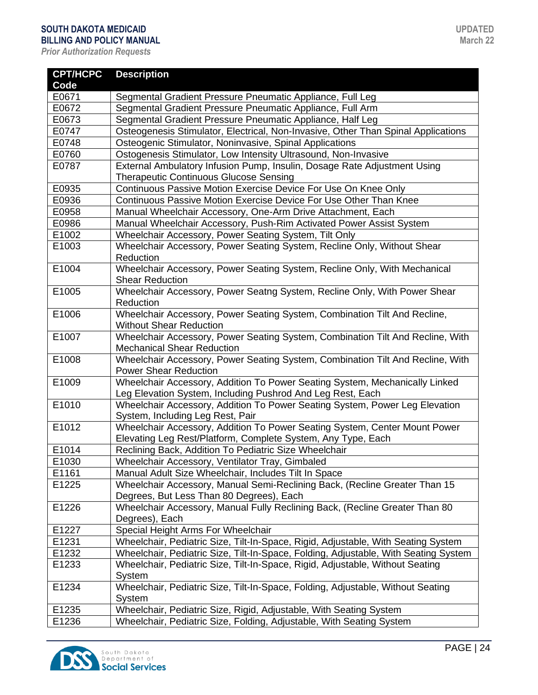| <b>CPT/HCPC</b>   | <b>Description</b>                                                                                                                         |
|-------------------|--------------------------------------------------------------------------------------------------------------------------------------------|
| Code              |                                                                                                                                            |
| E0671             | Segmental Gradient Pressure Pneumatic Appliance, Full Leg                                                                                  |
| E0672             | Segmental Gradient Pressure Pneumatic Appliance, Full Arm                                                                                  |
| E0673             | Segmental Gradient Pressure Pneumatic Appliance, Half Leg                                                                                  |
| E0747             | Osteogenesis Stimulator, Electrical, Non-Invasive, Other Than Spinal Applications                                                          |
| E0748             | Osteogenic Stimulator, Noninvasive, Spinal Applications                                                                                    |
| E0760             | Ostogenesis Stimulator, Low Intensity Ultrasound, Non-Invasive                                                                             |
| E0787             | External Ambulatory Infusion Pump, Insulin, Dosage Rate Adjustment Using<br><b>Therapeutic Continuous Glucose Sensing</b>                  |
| E0935             | Continuous Passive Motion Exercise Device For Use On Knee Only                                                                             |
| E0936             | Continuous Passive Motion Exercise Device For Use Other Than Knee                                                                          |
| E0958             | Manual Wheelchair Accessory, One-Arm Drive Attachment, Each                                                                                |
| E0986             | Manual Wheelchair Accessory, Push-Rim Activated Power Assist System                                                                        |
| E1002             | Wheelchair Accessory, Power Seating System, Tilt Only                                                                                      |
| E1003             | Wheelchair Accessory, Power Seating System, Recline Only, Without Shear                                                                    |
|                   | Reduction                                                                                                                                  |
| E1004             | Wheelchair Accessory, Power Seating System, Recline Only, With Mechanical<br><b>Shear Reduction</b>                                        |
| E1005             | Wheelchair Accessory, Power Seatng System, Recline Only, With Power Shear<br>Reduction                                                     |
| E1006             | Wheelchair Accessory, Power Seating System, Combination Tilt And Recline,<br><b>Without Shear Reduction</b>                                |
| E1007             | Wheelchair Accessory, Power Seating System, Combination Tilt And Recline, With<br><b>Mechanical Shear Reduction</b>                        |
| E1008             | Wheelchair Accessory, Power Seating System, Combination Tilt And Recline, With<br><b>Power Shear Reduction</b>                             |
| E1009             | Wheelchair Accessory, Addition To Power Seating System, Mechanically Linked<br>Leg Elevation System, Including Pushrod And Leg Rest, Each  |
| E1010             | Wheelchair Accessory, Addition To Power Seating System, Power Leg Elevation<br>System, Including Leg Rest, Pair                            |
| E1012             | Wheelchair Accessory, Addition To Power Seating System, Center Mount Power<br>Elevating Leg Rest/Platform, Complete System, Any Type, Each |
| E1014             | Reclining Back, Addition To Pediatric Size Wheelchair                                                                                      |
| E <sub>1030</sub> | Wheelchair Accessory, Ventilator Tray, Gimbaled                                                                                            |
| E1161             | Manual Adult Size Wheelchair, Includes Tilt In Space                                                                                       |
| E1225             | Wheelchair Accessory, Manual Semi-Reclining Back, (Recline Greater Than 15                                                                 |
|                   | Degrees, But Less Than 80 Degrees), Each                                                                                                   |
| E1226             | Wheelchair Accessory, Manual Fully Reclining Back, (Recline Greater Than 80                                                                |
|                   | Degrees), Each                                                                                                                             |
| E1227             | Special Height Arms For Wheelchair                                                                                                         |
| E1231             | Wheelchair, Pediatric Size, Tilt-In-Space, Rigid, Adjustable, With Seating System                                                          |
| E1232             | Wheelchair, Pediatric Size, Tilt-In-Space, Folding, Adjustable, With Seating System                                                        |
| E1233             | Wheelchair, Pediatric Size, Tilt-In-Space, Rigid, Adjustable, Without Seating                                                              |
| E1234             | System<br>Wheelchair, Pediatric Size, Tilt-In-Space, Folding, Adjustable, Without Seating                                                  |
|                   | System                                                                                                                                     |
| E1235             | Wheelchair, Pediatric Size, Rigid, Adjustable, With Seating System                                                                         |
| E1236             | Wheelchair, Pediatric Size, Folding, Adjustable, With Seating System                                                                       |

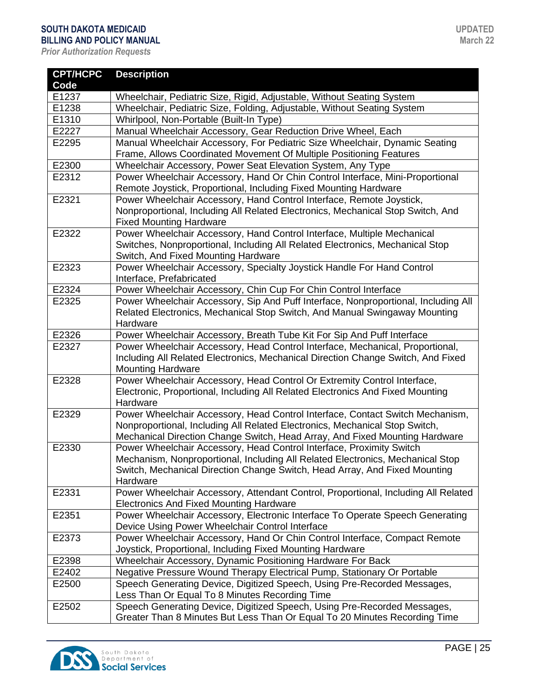| <b>CPT/HCPC</b> | <b>Description</b>                                                                                                                                 |
|-----------------|----------------------------------------------------------------------------------------------------------------------------------------------------|
| Code            |                                                                                                                                                    |
| E1237           | Wheelchair, Pediatric Size, Rigid, Adjustable, Without Seating System                                                                              |
| E1238           | Wheelchair, Pediatric Size, Folding, Adjustable, Without Seating System                                                                            |
| E1310           | Whirlpool, Non-Portable (Built-In Type)                                                                                                            |
| E2227           | Manual Wheelchair Accessory, Gear Reduction Drive Wheel, Each                                                                                      |
| E2295           | Manual Wheelchair Accessory, For Pediatric Size Wheelchair, Dynamic Seating<br>Frame, Allows Coordinated Movement Of Multiple Positioning Features |
| E2300           | Wheelchair Accessory, Power Seat Elevation System, Any Type                                                                                        |
| E2312           | Power Wheelchair Accessory, Hand Or Chin Control Interface, Mini-Proportional                                                                      |
|                 | Remote Joystick, Proportional, Including Fixed Mounting Hardware                                                                                   |
| E2321           | Power Wheelchair Accessory, Hand Control Interface, Remote Joystick,                                                                               |
|                 | Nonproportional, Including All Related Electronics, Mechanical Stop Switch, And                                                                    |
|                 | <b>Fixed Mounting Hardware</b>                                                                                                                     |
| E2322           | Power Wheelchair Accessory, Hand Control Interface, Multiple Mechanical                                                                            |
|                 | Switches, Nonproportional, Including All Related Electronics, Mechanical Stop                                                                      |
|                 | Switch, And Fixed Mounting Hardware                                                                                                                |
| E2323           | Power Wheelchair Accessory, Specialty Joystick Handle For Hand Control<br>Interface, Prefabricated                                                 |
| E2324           | Power Wheelchair Accessory, Chin Cup For Chin Control Interface                                                                                    |
| E2325           | Power Wheelchair Accessory, Sip And Puff Interface, Nonproportional, Including All                                                                 |
|                 | Related Electronics, Mechanical Stop Switch, And Manual Swingaway Mounting                                                                         |
|                 | Hardware                                                                                                                                           |
| E2326           | Power Wheelchair Accessory, Breath Tube Kit For Sip And Puff Interface                                                                             |
| E2327           | Power Wheelchair Accessory, Head Control Interface, Mechanical, Proportional,                                                                      |
|                 | Including All Related Electronics, Mechanical Direction Change Switch, And Fixed                                                                   |
|                 | <b>Mounting Hardware</b>                                                                                                                           |
| E2328           | Power Wheelchair Accessory, Head Control Or Extremity Control Interface,                                                                           |
|                 | Electronic, Proportional, Including All Related Electronics And Fixed Mounting                                                                     |
|                 | Hardware                                                                                                                                           |
| E2329           | Power Wheelchair Accessory, Head Control Interface, Contact Switch Mechanism,                                                                      |
|                 | Nonproportional, Including All Related Electronics, Mechanical Stop Switch,                                                                        |
|                 | Mechanical Direction Change Switch, Head Array, And Fixed Mounting Hardware                                                                        |
| E2330           | Power Wheelchair Accessory, Head Control Interface, Proximity Switch                                                                               |
|                 | Mechanism, Nonproportional, Including All Related Electronics, Mechanical Stop                                                                     |
|                 | Switch, Mechanical Direction Change Switch, Head Array, And Fixed Mounting                                                                         |
| E2331           | Hardware                                                                                                                                           |
|                 | Power Wheelchair Accessory, Attendant Control, Proportional, Including All Related<br><b>Electronics And Fixed Mounting Hardware</b>               |
| E2351           | Power Wheelchair Accessory, Electronic Interface To Operate Speech Generating                                                                      |
|                 | Device Using Power Wheelchair Control Interface                                                                                                    |
| E2373           | Power Wheelchair Accessory, Hand Or Chin Control Interface, Compact Remote                                                                         |
|                 | Joystick, Proportional, Including Fixed Mounting Hardware                                                                                          |
| E2398           | Wheelchair Accessory, Dynamic Positioning Hardware For Back                                                                                        |
| E2402           | Negative Pressure Wound Therapy Electrical Pump, Stationary Or Portable                                                                            |
| E2500           | Speech Generating Device, Digitized Speech, Using Pre-Recorded Messages,                                                                           |
|                 | Less Than Or Equal To 8 Minutes Recording Time                                                                                                     |
| E2502           | Speech Generating Device, Digitized Speech, Using Pre-Recorded Messages,                                                                           |
|                 | Greater Than 8 Minutes But Less Than Or Equal To 20 Minutes Recording Time                                                                         |

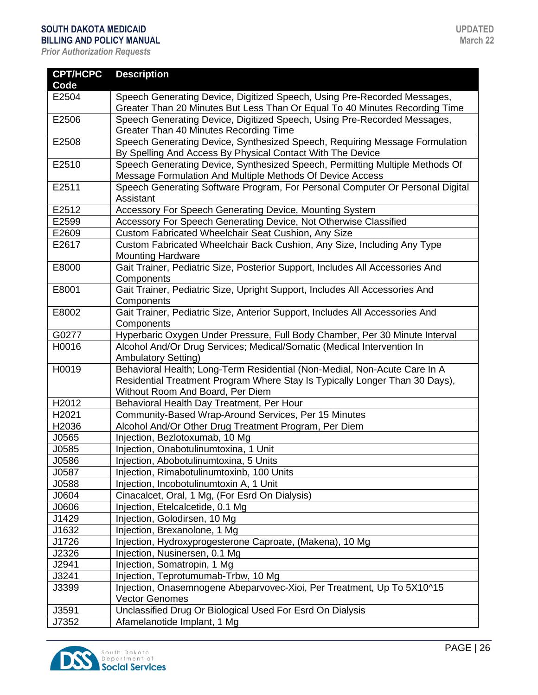| <b>CPT/HCPC</b> | <b>Description</b>                                                                                                                        |
|-----------------|-------------------------------------------------------------------------------------------------------------------------------------------|
| Code            |                                                                                                                                           |
| E2504           | Speech Generating Device, Digitized Speech, Using Pre-Recorded Messages,                                                                  |
|                 | Greater Than 20 Minutes But Less Than Or Equal To 40 Minutes Recording Time                                                               |
| E2506           | Speech Generating Device, Digitized Speech, Using Pre-Recorded Messages,                                                                  |
|                 | Greater Than 40 Minutes Recording Time                                                                                                    |
| E2508           | Speech Generating Device, Synthesized Speech, Requiring Message Formulation                                                               |
|                 | By Spelling And Access By Physical Contact With The Device                                                                                |
| E2510           | Speech Generating Device, Synthesized Speech, Permitting Multiple Methods Of<br>Message Formulation And Multiple Methods Of Device Access |
| E2511           | Speech Generating Software Program, For Personal Computer Or Personal Digital<br>Assistant                                                |
| E2512           | Accessory For Speech Generating Device, Mounting System                                                                                   |
| E2599           | Accessory For Speech Generating Device, Not Otherwise Classified                                                                          |
| E2609           | Custom Fabricated Wheelchair Seat Cushion, Any Size                                                                                       |
| E2617           | Custom Fabricated Wheelchair Back Cushion, Any Size, Including Any Type                                                                   |
|                 | <b>Mounting Hardware</b>                                                                                                                  |
| E8000           | Gait Trainer, Pediatric Size, Posterior Support, Includes All Accessories And<br>Components                                               |
| E8001           | Gait Trainer, Pediatric Size, Upright Support, Includes All Accessories And                                                               |
|                 | Components                                                                                                                                |
| E8002           | Gait Trainer, Pediatric Size, Anterior Support, Includes All Accessories And                                                              |
|                 | Components                                                                                                                                |
| G0277           | Hyperbaric Oxygen Under Pressure, Full Body Chamber, Per 30 Minute Interval                                                               |
| H0016           | Alcohol And/Or Drug Services; Medical/Somatic (Medical Intervention In                                                                    |
|                 | <b>Ambulatory Setting)</b>                                                                                                                |
| H0019           | Behavioral Health; Long-Term Residential (Non-Medial, Non-Acute Care In A                                                                 |
|                 | Residential Treatment Program Where Stay Is Typically Longer Than 30 Days),                                                               |
|                 | Without Room And Board, Per Diem                                                                                                          |
| H2012           | Behavioral Health Day Treatment, Per Hour                                                                                                 |
| H2021           | Community-Based Wrap-Around Services, Per 15 Minutes                                                                                      |
| H2036           | Alcohol And/Or Other Drug Treatment Program, Per Diem                                                                                     |
| J0565           | Injection, Bezlotoxumab, 10 Mg                                                                                                            |
| J0585           | Injection, Onabotulinumtoxina, 1 Unit                                                                                                     |
| J0586           | Injection, Abobotulinumtoxina, 5 Units                                                                                                    |
| J0587           | Injection, Rimabotulinumtoxinb, 100 Units                                                                                                 |
| J0588           | Injection, Incobotulinumtoxin A, 1 Unit                                                                                                   |
| J0604           | Cinacalcet, Oral, 1 Mg, (For Esrd On Dialysis)                                                                                            |
| J0606           | Injection, Etelcalcetide, 0.1 Mg                                                                                                          |
| J1429           | Injection, Golodirsen, 10 Mg                                                                                                              |
| J1632           | Injection, Brexanolone, 1 Mg                                                                                                              |
| J1726           | Injection, Hydroxyprogesterone Caproate, (Makena), 10 Mg                                                                                  |
| J2326           | Injection, Nusinersen, 0.1 Mg                                                                                                             |
| J2941           | Injection, Somatropin, 1 Mg                                                                                                               |
| J3241           | Injection, Teprotumumab-Trbw, 10 Mg                                                                                                       |
| J3399           | Injection, Onasemnogene Abeparvovec-Xioi, Per Treatment, Up To 5X10^15                                                                    |
|                 | <b>Vector Genomes</b>                                                                                                                     |
| J3591           | Unclassified Drug Or Biological Used For Esrd On Dialysis                                                                                 |
| J7352           | Afamelanotide Implant, 1 Mg                                                                                                               |

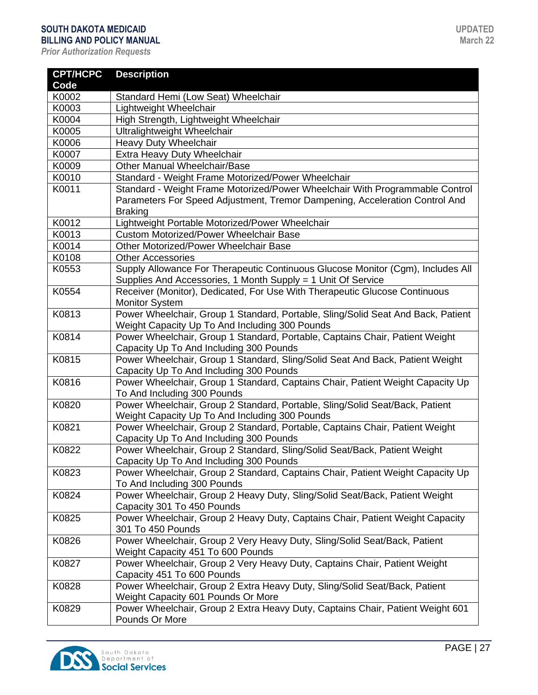| <b>CPT/HCPC</b> | <b>Description</b>                                                                                                       |
|-----------------|--------------------------------------------------------------------------------------------------------------------------|
| Code            |                                                                                                                          |
| K0002           | Standard Hemi (Low Seat) Wheelchair                                                                                      |
| K0003           | Lightweight Wheelchair                                                                                                   |
| K0004           | High Strength, Lightweight Wheelchair                                                                                    |
| K0005           | Ultralightweight Wheelchair                                                                                              |
| K0006           | Heavy Duty Wheelchair                                                                                                    |
| K0007           | Extra Heavy Duty Wheelchair                                                                                              |
| K0009           | <b>Other Manual Wheelchair/Base</b>                                                                                      |
| K0010           | Standard - Weight Frame Motorized/Power Wheelchair                                                                       |
| K0011           | Standard - Weight Frame Motorized/Power Wheelchair With Programmable Control                                             |
|                 | Parameters For Speed Adjustment, Tremor Dampening, Acceleration Control And                                              |
|                 | <b>Braking</b>                                                                                                           |
| K0012           | Lightweight Portable Motorized/Power Wheelchair                                                                          |
| K0013           | <b>Custom Motorized/Power Wheelchair Base</b>                                                                            |
| K0014           | <b>Other Motorized/Power Wheelchair Base</b>                                                                             |
| K0108           | <b>Other Accessories</b>                                                                                                 |
| K0553           | Supply Allowance For Therapeutic Continuous Glucose Monitor (Cgm), Includes All                                          |
|                 | Supplies And Accessories, 1 Month Supply = 1 Unit Of Service                                                             |
| K0554           | Receiver (Monitor), Dedicated, For Use With Therapeutic Glucose Continuous                                               |
|                 | <b>Monitor System</b>                                                                                                    |
| K0813           | Power Wheelchair, Group 1 Standard, Portable, Sling/Solid Seat And Back, Patient                                         |
|                 | Weight Capacity Up To And Including 300 Pounds                                                                           |
| K0814           | Power Wheelchair, Group 1 Standard, Portable, Captains Chair, Patient Weight                                             |
| K0815           | Capacity Up To And Including 300 Pounds                                                                                  |
|                 | Power Wheelchair, Group 1 Standard, Sling/Solid Seat And Back, Patient Weight<br>Capacity Up To And Including 300 Pounds |
| K0816           | Power Wheelchair, Group 1 Standard, Captains Chair, Patient Weight Capacity Up                                           |
|                 | To And Including 300 Pounds                                                                                              |
| K0820           | Power Wheelchair, Group 2 Standard, Portable, Sling/Solid Seat/Back, Patient                                             |
|                 | Weight Capacity Up To And Including 300 Pounds                                                                           |
| K0821           | Power Wheelchair, Group 2 Standard, Portable, Captains Chair, Patient Weight                                             |
|                 | Capacity Up To And Including 300 Pounds                                                                                  |
| K0822           | Power Wheelchair, Group 2 Standard, Sling/Solid Seat/Back, Patient Weight                                                |
|                 | Capacity Up To And Including 300 Pounds                                                                                  |
| K0823           | Power Wheelchair, Group 2 Standard, Captains Chair, Patient Weight Capacity Up                                           |
|                 | To And Including 300 Pounds                                                                                              |
| K0824           | Power Wheelchair, Group 2 Heavy Duty, Sling/Solid Seat/Back, Patient Weight                                              |
|                 | Capacity 301 To 450 Pounds                                                                                               |
| K0825           | Power Wheelchair, Group 2 Heavy Duty, Captains Chair, Patient Weight Capacity                                            |
|                 | 301 To 450 Pounds                                                                                                        |
| K0826           | Power Wheelchair, Group 2 Very Heavy Duty, Sling/Solid Seat/Back, Patient                                                |
|                 | Weight Capacity 451 To 600 Pounds                                                                                        |
| K0827           | Power Wheelchair, Group 2 Very Heavy Duty, Captains Chair, Patient Weight                                                |
|                 | Capacity 451 To 600 Pounds                                                                                               |
| K0828           | Power Wheelchair, Group 2 Extra Heavy Duty, Sling/Solid Seat/Back, Patient                                               |
|                 | Weight Capacity 601 Pounds Or More                                                                                       |
| K0829           | Power Wheelchair, Group 2 Extra Heavy Duty, Captains Chair, Patient Weight 601                                           |
|                 | Pounds Or More                                                                                                           |

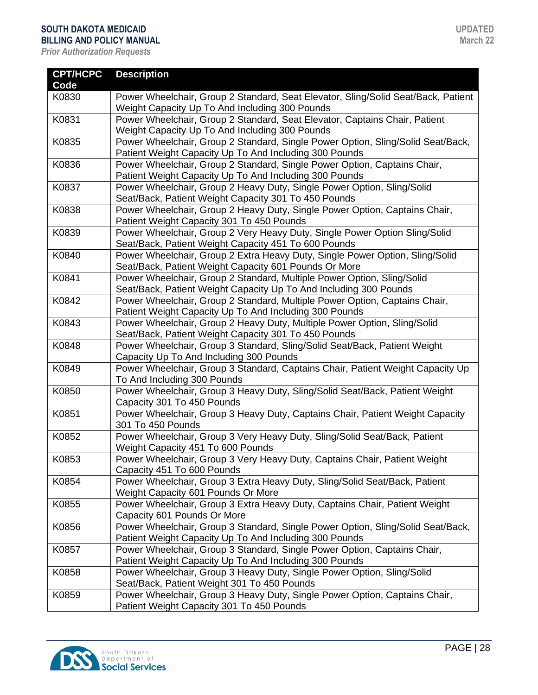| <b>CPT/HCPC</b> | <b>Description</b>                                                                |
|-----------------|-----------------------------------------------------------------------------------|
| Code            |                                                                                   |
| K0830           | Power Wheelchair, Group 2 Standard, Seat Elevator, Sling/Solid Seat/Back, Patient |
|                 | Weight Capacity Up To And Including 300 Pounds                                    |
| K0831           | Power Wheelchair, Group 2 Standard, Seat Elevator, Captains Chair, Patient        |
|                 | Weight Capacity Up To And Including 300 Pounds                                    |
| K0835           | Power Wheelchair, Group 2 Standard, Single Power Option, Sling/Solid Seat/Back,   |
|                 | Patient Weight Capacity Up To And Including 300 Pounds                            |
| K0836           | Power Wheelchair, Group 2 Standard, Single Power Option, Captains Chair,          |
|                 | Patient Weight Capacity Up To And Including 300 Pounds                            |
| K0837           | Power Wheelchair, Group 2 Heavy Duty, Single Power Option, Sling/Solid            |
|                 | Seat/Back, Patient Weight Capacity 301 To 450 Pounds                              |
| K0838           | Power Wheelchair, Group 2 Heavy Duty, Single Power Option, Captains Chair,        |
|                 | Patient Weight Capacity 301 To 450 Pounds                                         |
| K0839           | Power Wheelchair, Group 2 Very Heavy Duty, Single Power Option Sling/Solid        |
|                 | Seat/Back, Patient Weight Capacity 451 To 600 Pounds                              |
| K0840           | Power Wheelchair, Group 2 Extra Heavy Duty, Single Power Option, Sling/Solid      |
|                 | Seat/Back, Patient Weight Capacity 601 Pounds Or More                             |
| K0841           | Power Wheelchair, Group 2 Standard, Multiple Power Option, Sling/Solid            |
|                 | Seat/Back, Patient Weight Capacity Up To And Including 300 Pounds                 |
| K0842           | Power Wheelchair, Group 2 Standard, Multiple Power Option, Captains Chair,        |
|                 | Patient Weight Capacity Up To And Including 300 Pounds                            |
| K0843           | Power Wheelchair, Group 2 Heavy Duty, Multiple Power Option, Sling/Solid          |
|                 | Seat/Back, Patient Weight Capacity 301 To 450 Pounds                              |
| K0848           | Power Wheelchair, Group 3 Standard, Sling/Solid Seat/Back, Patient Weight         |
|                 | Capacity Up To And Including 300 Pounds                                           |
| K0849           | Power Wheelchair, Group 3 Standard, Captains Chair, Patient Weight Capacity Up    |
|                 | To And Including 300 Pounds                                                       |
| K0850           | Power Wheelchair, Group 3 Heavy Duty, Sling/Solid Seat/Back, Patient Weight       |
|                 | Capacity 301 To 450 Pounds                                                        |
| K0851           | Power Wheelchair, Group 3 Heavy Duty, Captains Chair, Patient Weight Capacity     |
|                 | 301 To 450 Pounds                                                                 |
| K0852           | Power Wheelchair, Group 3 Very Heavy Duty, Sling/Solid Seat/Back, Patient         |
|                 | Weight Capacity 451 To 600 Pounds                                                 |
| K0853           | Power Wheelchair, Group 3 Very Heavy Duty, Captains Chair, Patient Weight         |
|                 | Capacity 451 To 600 Pounds                                                        |
| K0854           | Power Wheelchair, Group 3 Extra Heavy Duty, Sling/Solid Seat/Back, Patient        |
|                 | Weight Capacity 601 Pounds Or More                                                |
| K0855           | Power Wheelchair, Group 3 Extra Heavy Duty, Captains Chair, Patient Weight        |
|                 | Capacity 601 Pounds Or More                                                       |
| K0856           | Power Wheelchair, Group 3 Standard, Single Power Option, Sling/Solid Seat/Back,   |
|                 | Patient Weight Capacity Up To And Including 300 Pounds                            |
| K0857           | Power Wheelchair, Group 3 Standard, Single Power Option, Captains Chair,          |
|                 | Patient Weight Capacity Up To And Including 300 Pounds                            |
| K0858           | Power Wheelchair, Group 3 Heavy Duty, Single Power Option, Sling/Solid            |
|                 | Seat/Back, Patient Weight 301 To 450 Pounds                                       |
| K0859           | Power Wheelchair, Group 3 Heavy Duty, Single Power Option, Captains Chair,        |
|                 | Patient Weight Capacity 301 To 450 Pounds                                         |

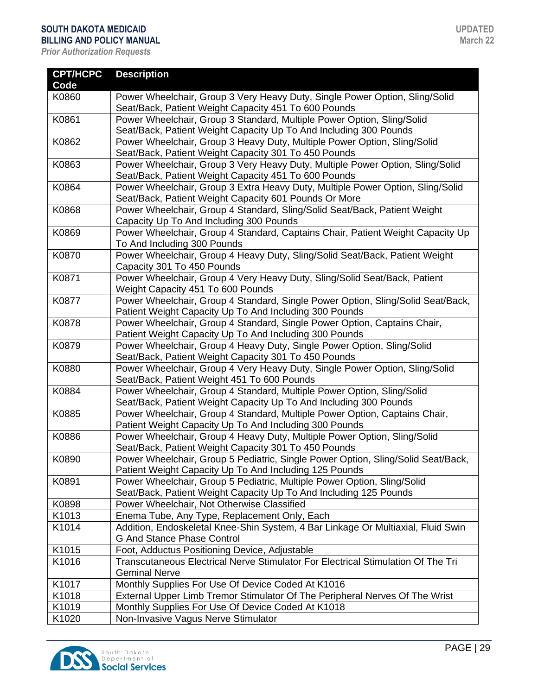| <b>CPT/HCPC</b> | <b>Description</b>                                                                                                                    |
|-----------------|---------------------------------------------------------------------------------------------------------------------------------------|
| Code            |                                                                                                                                       |
| K0860           | Power Wheelchair, Group 3 Very Heavy Duty, Single Power Option, Sling/Solid                                                           |
|                 | Seat/Back, Patient Weight Capacity 451 To 600 Pounds                                                                                  |
| K0861           | Power Wheelchair, Group 3 Standard, Multiple Power Option, Sling/Solid                                                                |
|                 | Seat/Back, Patient Weight Capacity Up To And Including 300 Pounds                                                                     |
| K0862           | Power Wheelchair, Group 3 Heavy Duty, Multiple Power Option, Sling/Solid                                                              |
|                 | Seat/Back, Patient Weight Capacity 301 To 450 Pounds                                                                                  |
| K0863           | Power Wheelchair, Group 3 Very Heavy Duty, Multiple Power Option, Sling/Solid<br>Seat/Back, Patient Weight Capacity 451 To 600 Pounds |
| K0864           | Power Wheelchair, Group 3 Extra Heavy Duty, Multiple Power Option, Sling/Solid                                                        |
|                 | Seat/Back, Patient Weight Capacity 601 Pounds Or More                                                                                 |
| K0868           | Power Wheelchair, Group 4 Standard, Sling/Solid Seat/Back, Patient Weight                                                             |
|                 | Capacity Up To And Including 300 Pounds                                                                                               |
| K0869           | Power Wheelchair, Group 4 Standard, Captains Chair, Patient Weight Capacity Up<br>To And Including 300 Pounds                         |
| K0870           | Power Wheelchair, Group 4 Heavy Duty, Sling/Solid Seat/Back, Patient Weight                                                           |
|                 | Capacity 301 To 450 Pounds                                                                                                            |
| K0871           | Power Wheelchair, Group 4 Very Heavy Duty, Sling/Solid Seat/Back, Patient                                                             |
|                 | Weight Capacity 451 To 600 Pounds                                                                                                     |
| K0877           | Power Wheelchair, Group 4 Standard, Single Power Option, Sling/Solid Seat/Back,                                                       |
|                 | Patient Weight Capacity Up To And Including 300 Pounds                                                                                |
| K0878           | Power Wheelchair, Group 4 Standard, Single Power Option, Captains Chair,                                                              |
|                 | Patient Weight Capacity Up To And Including 300 Pounds                                                                                |
| K0879           | Power Wheelchair, Group 4 Heavy Duty, Single Power Option, Sling/Solid                                                                |
|                 | Seat/Back, Patient Weight Capacity 301 To 450 Pounds                                                                                  |
| K0880           | Power Wheelchair, Group 4 Very Heavy Duty, Single Power Option, Sling/Solid                                                           |
|                 | Seat/Back, Patient Weight 451 To 600 Pounds                                                                                           |
| K0884           | Power Wheelchair, Group 4 Standard, Multiple Power Option, Sling/Solid                                                                |
|                 | Seat/Back, Patient Weight Capacity Up To And Including 300 Pounds                                                                     |
| K0885           | Power Wheelchair, Group 4 Standard, Multiple Power Option, Captains Chair,                                                            |
|                 | Patient Weight Capacity Up To And Including 300 Pounds                                                                                |
| K0886           | Power Wheelchair, Group 4 Heavy Duty, Multiple Power Option, Sling/Solid                                                              |
|                 | Seat/Back, Patient Weight Capacity 301 To 450 Pounds                                                                                  |
| K0890           | Power Wheelchair, Group 5 Pediatric, Single Power Option, Sling/Solid Seat/Back,                                                      |
|                 | Patient Weight Capacity Up To And Including 125 Pounds                                                                                |
| K0891           | Power Wheelchair, Group 5 Pediatric, Multiple Power Option, Sling/Solid                                                               |
|                 | Seat/Back, Patient Weight Capacity Up To And Including 125 Pounds                                                                     |
| K0898           | Power Wheelchair, Not Otherwise Classified                                                                                            |
| K1013           | Enema Tube, Any Type, Replacement Only, Each                                                                                          |
| K1014           | Addition, Endoskeletal Knee-Shin System, 4 Bar Linkage Or Multiaxial, Fluid Swin                                                      |
|                 | <b>G And Stance Phase Control</b>                                                                                                     |
| K1015           | Foot, Adductus Positioning Device, Adjustable                                                                                         |
| K1016           | Transcutaneous Electrical Nerve Stimulator For Electrical Stimulation Of The Tri<br><b>Geminal Nerve</b>                              |
| K1017           | Monthly Supplies For Use Of Device Coded At K1016                                                                                     |
| K1018           | External Upper Limb Tremor Stimulator Of The Peripheral Nerves Of The Wrist                                                           |
| K1019           | Monthly Supplies For Use Of Device Coded At K1018                                                                                     |
| K1020           | Non-Invasive Vagus Nerve Stimulator                                                                                                   |

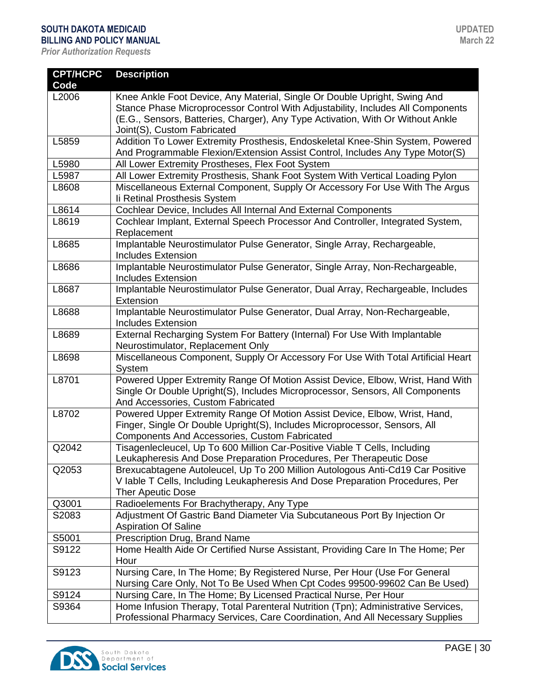| <b>CPT/HCPC</b> | <b>Description</b>                                                                                                                                                                                                                                                             |
|-----------------|--------------------------------------------------------------------------------------------------------------------------------------------------------------------------------------------------------------------------------------------------------------------------------|
| Code            |                                                                                                                                                                                                                                                                                |
| L2006           | Knee Ankle Foot Device, Any Material, Single Or Double Upright, Swing And<br>Stance Phase Microprocessor Control With Adjustability, Includes All Components<br>(E.G., Sensors, Batteries, Charger), Any Type Activation, With Or Without Ankle<br>Joint(S), Custom Fabricated |
| L5859           | Addition To Lower Extremity Prosthesis, Endoskeletal Knee-Shin System, Powered                                                                                                                                                                                                 |
|                 | And Programmable Flexion/Extension Assist Control, Includes Any Type Motor(S)                                                                                                                                                                                                  |
| L5980           | All Lower Extremity Prostheses, Flex Foot System                                                                                                                                                                                                                               |
| L5987           | All Lower Extremity Prosthesis, Shank Foot System With Vertical Loading Pylon                                                                                                                                                                                                  |
| L8608           | Miscellaneous External Component, Supply Or Accessory For Use With The Argus<br>Ii Retinal Prosthesis System                                                                                                                                                                   |
| L8614           | Cochlear Device, Includes All Internal And External Components                                                                                                                                                                                                                 |
| L8619           | Cochlear Implant, External Speech Processor And Controller, Integrated System,<br>Replacement                                                                                                                                                                                  |
| L8685           | Implantable Neurostimulator Pulse Generator, Single Array, Rechargeable,<br><b>Includes Extension</b>                                                                                                                                                                          |
| L8686           | Implantable Neurostimulator Pulse Generator, Single Array, Non-Rechargeable,<br><b>Includes Extension</b>                                                                                                                                                                      |
| L8687           | Implantable Neurostimulator Pulse Generator, Dual Array, Rechargeable, Includes<br>Extension                                                                                                                                                                                   |
| L8688           | Implantable Neurostimulator Pulse Generator, Dual Array, Non-Rechargeable,<br><b>Includes Extension</b>                                                                                                                                                                        |
| L8689           | External Recharging System For Battery (Internal) For Use With Implantable<br>Neurostimulator, Replacement Only                                                                                                                                                                |
| L8698           | Miscellaneous Component, Supply Or Accessory For Use With Total Artificial Heart<br>System                                                                                                                                                                                     |
| L8701           | Powered Upper Extremity Range Of Motion Assist Device, Elbow, Wrist, Hand With<br>Single Or Double Upright(S), Includes Microprocessor, Sensors, All Components<br>And Accessories, Custom Fabricated                                                                          |
| L8702           | Powered Upper Extremity Range Of Motion Assist Device, Elbow, Wrist, Hand,<br>Finger, Single Or Double Upright(S), Includes Microprocessor, Sensors, All<br>Components And Accessories, Custom Fabricated                                                                      |
| Q2042           | Tisagenlecleucel, Up To 600 Million Car-Positive Viable T Cells, Including<br>Leukapheresis And Dose Preparation Procedures, Per Therapeutic Dose                                                                                                                              |
| Q2053           | Brexucabtagene Autoleucel, Up To 200 Million Autologous Anti-Cd19 Car Positive<br>V lable T Cells, Including Leukapheresis And Dose Preparation Procedures, Per<br><b>Ther Apeutic Dose</b>                                                                                    |
| Q3001           | Radioelements For Brachytherapy, Any Type                                                                                                                                                                                                                                      |
| S2083           | Adjustment Of Gastric Band Diameter Via Subcutaneous Port By Injection Or<br><b>Aspiration Of Saline</b>                                                                                                                                                                       |
| S5001           | Prescription Drug, Brand Name                                                                                                                                                                                                                                                  |
| S9122           | Home Health Aide Or Certified Nurse Assistant, Providing Care In The Home; Per<br>Hour                                                                                                                                                                                         |
| S9123           | Nursing Care, In The Home; By Registered Nurse, Per Hour (Use For General<br>Nursing Care Only, Not To Be Used When Cpt Codes 99500-99602 Can Be Used)                                                                                                                         |
| S9124           | Nursing Care, In The Home; By Licensed Practical Nurse, Per Hour                                                                                                                                                                                                               |
| S9364           | Home Infusion Therapy, Total Parenteral Nutrition (Tpn); Administrative Services,                                                                                                                                                                                              |
|                 | Professional Pharmacy Services, Care Coordination, And All Necessary Supplies                                                                                                                                                                                                  |